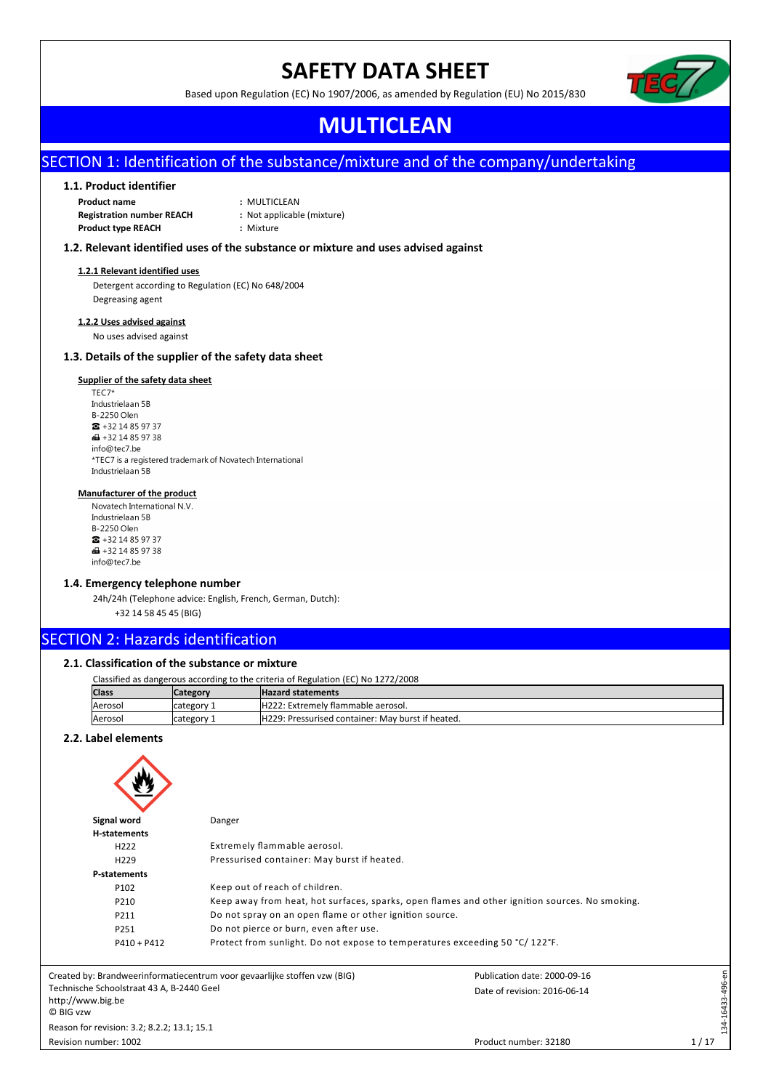# **SAFETY DATA SHEET**

Based upon Regulation (EC) No 1907/2006, as amended by Regulation (EU) No 2015/830

## **MULTICLEAN**

## SECTION 1: Identification of the substance/mixture and of the company/undertaking

## **1.1. Product identifier**

**Product name :** MULTICLEAN **Registration number REACH :** Not applicable (mixture) **Product type REACH :** Mixture

- 
- 
- 

## **1.2. Relevant identified uses of the substance or mixture and uses advised against**

### **1.2.1 Relevant identified uses**

Detergent according to Regulation (EC) No 648/2004 Degreasing agent

## **1.2.2 Uses advised against**

No uses advised against

## **1.3. Details of the supplier of the safety data sheet**

## **Supplier of the safety data sheet**<br>TEC7\*

Industrielaan 5B **B-2250 Olen**  $\bullet$  +32 14 85 97 37  $\bigoplus$  +32 14 85 97 38 info@tec7.be \*TEC7 is a registered trademark of Novatech International Industrielaan 5B

## **Manufacturer of the product**

Novatech International N.V. Industrielaan 5B **B-2250 Olen**  $\bullet$  +32 14 85 97 37  $\bigoplus$  +32 14 85 97 38 info@tec7.be

### **1.4. Emergency telephone number**

24h/24h (Telephone advice: English, French, German, Dutch):

+32 14 58 45 45 (BIG)

## SECTION 2: Hazards identification

## **2.1. Classification of the substance or mixture**

| Classified as dangerous according to the criteria of Regulation (EC) No 1272/2008 |                                                   |  |  |  |
|-----------------------------------------------------------------------------------|---------------------------------------------------|--|--|--|
| Category                                                                          | <b>Hazard statements</b>                          |  |  |  |
| Icategory 1                                                                       | H222: Extremely flammable aerosol.                |  |  |  |
| Icategory 1                                                                       | H229: Pressurised container: May burst if heated. |  |  |  |
|                                                                                   |                                                   |  |  |  |

## **2.2. Label elements**

| Signal word                                                                                            | Danger                                                                      |                              |                 |  |
|--------------------------------------------------------------------------------------------------------|-----------------------------------------------------------------------------|------------------------------|-----------------|--|
| H-statements                                                                                           |                                                                             |                              |                 |  |
| H <sub>222</sub>                                                                                       | Extremely flammable aerosol.                                                |                              |                 |  |
| H <sub>229</sub>                                                                                       | Pressurised container: May burst if heated.                                 |                              |                 |  |
| <b>P-statements</b>                                                                                    |                                                                             |                              |                 |  |
| P102                                                                                                   | Keep out of reach of children.                                              |                              |                 |  |
| Keep away from heat, hot surfaces, sparks, open flames and other ignition sources. No smoking.<br>P210 |                                                                             |                              |                 |  |
| P211                                                                                                   | Do not spray on an open flame or other ignition source.                     |                              |                 |  |
| P251                                                                                                   | Do not pierce or burn, even after use.                                      |                              |                 |  |
| $P410 + P412$                                                                                          | Protect from sunlight. Do not expose to temperatures exceeding 50 °C/122°F. |                              |                 |  |
|                                                                                                        | Created by: Brandweerinformatiecentrum voor gevaarlijke stoffen vzw (BIG)   | Publication date: 2000-09-16 |                 |  |
| Technische Schoolstraat 43 A, B-2440 Geel<br>http://www.big.be<br>© BIG vzw                            |                                                                             | Date of revision: 2016-06-14 | 34-16433-496-en |  |
| Reason for revision: 3.2; 8.2.2; 13.1; 15.1                                                            |                                                                             |                              | ∺               |  |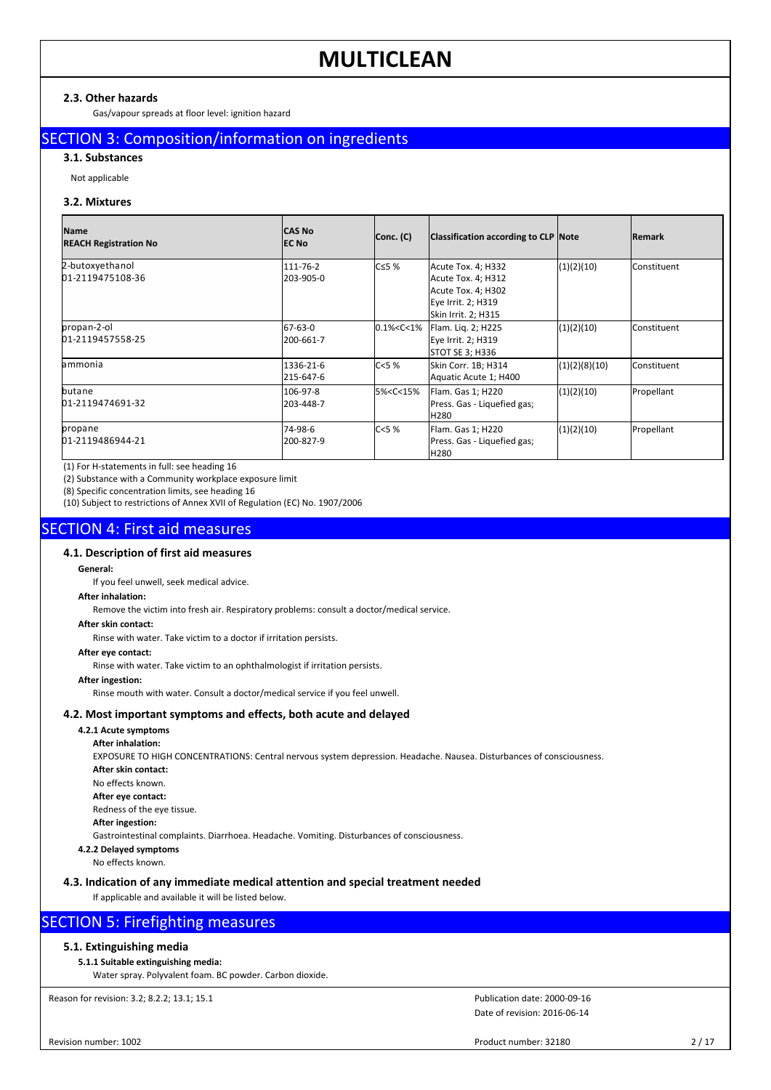## **2.3. Other hazards**

Gas/vapour spreads at floor level: ignition hazard

## SECTION 3: Composition/information on ingredients

**3.1. Substances**

Not applicable

## **3.2. Mixtures**

| <b>Name</b><br><b>REACH Registration No</b> | <b>CAS No</b><br><b>IEC No</b> | Conc. (C)                                                                                                                                  | Classification according to CLP Note                                                                        |               | <b>Remark</b>      |
|---------------------------------------------|--------------------------------|--------------------------------------------------------------------------------------------------------------------------------------------|-------------------------------------------------------------------------------------------------------------|---------------|--------------------|
| 2-butoxyethanol<br>01-2119475108-36         | 111-76-2<br>203-905-0          | $C \leq 5$ %                                                                                                                               | Acute Tox. 4; H332<br>Acute Tox. 4; H312<br>Acute Tox. 4; H302<br>Eye Irrit. 2; H319<br>Skin Irrit. 2; H315 | (1)(2)(10)    | <b>Constituent</b> |
| propan-2-ol<br>01-2119457558-25             | 67-63-0<br>1200-661-7          | 0.1% < C < 1%                                                                                                                              | Flam. Lig. 2; H225<br>Eye Irrit. 2; H319<br>STOT SE 3; H336                                                 | (1)(2)(10)    | <b>Constituent</b> |
| lammonia                                    | 1336-21-6<br>215-647-6         | C < 5%                                                                                                                                     | Skin Corr. 1B; H314<br>Aquatic Acute 1; H400                                                                | (1)(2)(8)(10) | <b>Constituent</b> |
| butane<br>01-2119474691-32                  | 106-97-8<br>203-448-7          | 5% <c<15%< td=""><td>Flam. Gas 1; H220<br/>Press. Gas - Liquefied gas;<br/><b>H280</b></td><td>(1)(2)(10)</td><td>Propellant</td></c<15%<> | Flam. Gas 1; H220<br>Press. Gas - Liquefied gas;<br><b>H280</b>                                             | (1)(2)(10)    | Propellant         |
| propane<br>01-2119486944-21                 | l74-98-6<br>200-827-9          | C < 5%                                                                                                                                     | Flam. Gas 1; H220<br>Press. Gas - Liquefied gas;<br>H <sub>280</sub>                                        | (1)(2)(10)    | Propellant         |

(1) For H-statements in full: see heading 16

(2) Substance with a Community workplace exposure limit

(8) Specific concentration limits, see heading 16

(10) Subject to restrictions of Annex XVII of Regulation (EC) No. 1907/2006

## SECTION 4: First aid measures

## **4.1. Description of first aid measures**

#### **General:**

If you feel unwell, seek medical advice.

## **After inhalation:**

Remove the victim into fresh air. Respiratory problems: consult a doctor/medical service.

## **After skin contact:**

Rinse with water. Take victim to a doctor if irritation persists.

### **After eye contact:**

Rinse with water. Take victim to an ophthalmologist if irritation persists.

## **After ingestion:**

Rinse mouth with water. Consult a doctor/medical service if you feel unwell.

## **4.2. Most important symptoms and effects, both acute and delayed**

## **4.2.1 Acute symptoms**

**After inhalation:** EXPOSURE TO HIGH CONCENTRATIONS: Central nervous system depression. Headache. Nausea. Disturbances of consciousness. **After skin contact:** No effects known. **After eye contact:** Redness of the eye tissue. **After ingestion:** Gastrointestinal complaints. Diarrhoea. Headache. Vomiting. Disturbances of consciousness. **4.2.2 Delayed symptoms**

No effects known.

## **4.3. Indication of any immediate medical attention and special treatment needed**

If applicable and available it will be listed below.

## SECTION 5: Firefighting measures

## **5.1. Extinguishing media**

## **5.1.1 Suitable extinguishing media:**

Water spray. Polyvalent foam. BC powder. Carbon dioxide.

Reason for revision: 3.2; 8.2.2; 13.1; 15.1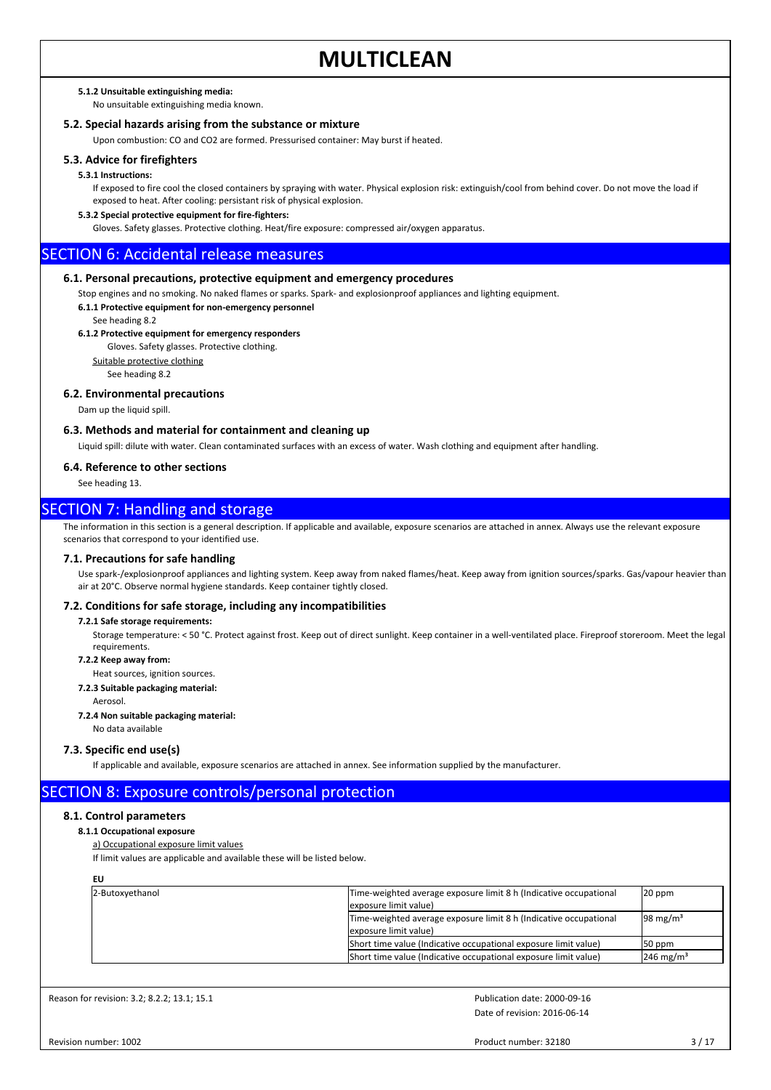#### **5.1.2 Unsuitable extinguishing media:**

No unsuitable extinguishing media known.

## **5.2. Special hazards arising from the substance or mixture**

Upon combustion: CO and CO2 are formed. Pressurised container: May burst if heated.

#### **5.3. Advice for firefighters**

#### **5.3.1 Instructions:**

If exposed to fire cool the closed containers by spraying with water. Physical explosion risk: extinguish/cool from behind cover. Do not move the load if exposed to heat. After cooling: persistant risk of physical explosion.

#### **5.3.2 Special protective equipment for fire-fighters:**

Gloves. Safety glasses. Protective clothing. Heat/fire exposure: compressed air/oxygen apparatus.

## SECTION 6: Accidental release measures

#### **6.1. Personal precautions, protective equipment and emergency procedures**

Stop engines and no smoking. No naked flames or sparks. Spark- and explosionproof appliances and lighting equipment.

**6.1.1 Protective equipment for non-emergency personnel**

See heading 8.2

## **6.1.2 Protective equipment for emergency responders**

Gloves. Safety glasses. Protective clothing.

Suitable protective clothing

See heading 8.2

#### **6.2. Environmental precautions**

Dam up the liquid spill.

#### **6.3. Methods and material for containment and cleaning up**

Liquid spill: dilute with water. Clean contaminated surfaces with an excess of water. Wash clothing and equipment after handling.

#### **6.4. Reference to other sections**

See heading 13.

## SECTION 7: Handling and storage

The information in this section is a general description. If applicable and available, exposure scenarios are attached in annex. Always use the relevant exposure scenarios that correspond to your identified use.

## **7.1. Precautions for safe handling**

Use spark-/explosionproof appliances and lighting system. Keep away from naked flames/heat. Keep away from ignition sources/sparks. Gas/vapour heavier than air at 20°C. Observe normal hygiene standards. Keep container tightly closed.

#### **7.2. Conditions for safe storage, including any incompatibilities**

#### **7.2.1 Safe storage requirements:**

Storage temperature: < 50 °C. Protect against frost. Keep out of direct sunlight. Keep container in a well-ventilated place. Fireproof storeroom. Meet the legal requirements.

#### **7.2.2 Keep away from:**

Heat sources, ignition sources.

### **7.2.3 Suitable packaging material:**

Aerosol.

#### **7.2.4 Non suitable packaging material:**

No data available

#### **7.3. Specific end use(s)**

If applicable and available, exposure scenarios are attached in annex. See information supplied by the manufacturer.

## SECTION 8: Exposure controls/personal protection

### **8.1. Control parameters**

## **8.1.1 Occupational exposure**

a) Occupational exposure limit values

If limit values are applicable and available these will be listed below.

| 2-Butoxyethanol | Time-weighted average exposure limit 8 h (Indicative occupational<br>exposure limit value) | $20$ ppm                |
|-----------------|--------------------------------------------------------------------------------------------|-------------------------|
|                 | Time-weighted average exposure limit 8 h (Indicative occupational<br>exposure limit value) | $98 \text{ mg/m}^3$     |
|                 | (Short time value (Indicative occupational exposure limit value)                           | 50 ppm                  |
|                 | Short time value (Indicative occupational exposure limit value)                            | $246$ mg/m <sup>3</sup> |

Reason for revision: 3.2; 8.2.2; 13.1; 15.1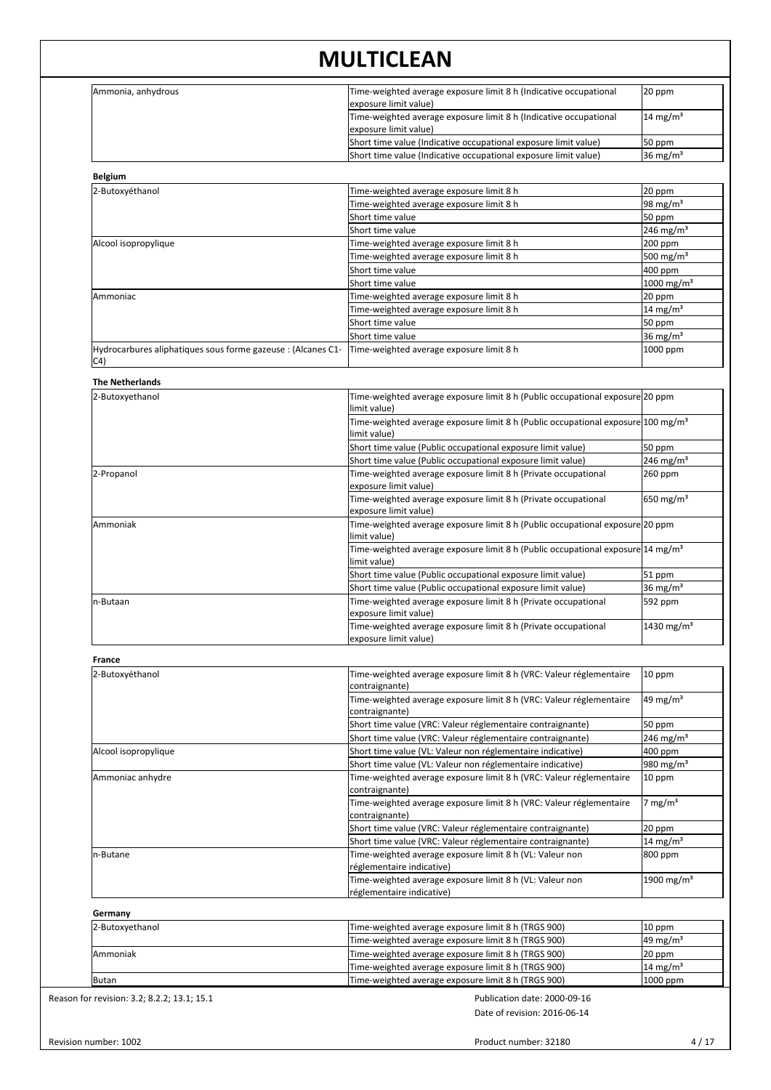| Ammonia, anhydrous                                                  | Time-weighted average exposure limit 8 h (Indicative occupational<br>exposure limit value)                             | 20 ppm                         |
|---------------------------------------------------------------------|------------------------------------------------------------------------------------------------------------------------|--------------------------------|
|                                                                     | Time-weighted average exposure limit 8 h (Indicative occupational<br>exposure limit value)                             | $14 \text{ mg/m}^3$            |
|                                                                     | Short time value (Indicative occupational exposure limit value)                                                        | 50 ppm                         |
|                                                                     | Short time value (Indicative occupational exposure limit value)                                                        | 36 mg/m <sup>3</sup>           |
| <b>Belgium</b>                                                      |                                                                                                                        |                                |
| 2-Butoxyéthanol                                                     | Time-weighted average exposure limit 8 h                                                                               | 20 ppm                         |
|                                                                     | Time-weighted average exposure limit 8 h                                                                               | 98 mg/m <sup>3</sup>           |
|                                                                     | Short time value                                                                                                       | 50 ppm                         |
|                                                                     | Short time value                                                                                                       | 246 mg/m <sup>3</sup>          |
| Alcool isopropylique                                                | Time-weighted average exposure limit 8 h                                                                               | 200 ppm                        |
|                                                                     | Time-weighted average exposure limit 8 h                                                                               | 500 mg/m <sup>3</sup>          |
|                                                                     | Short time value                                                                                                       | 400 ppm                        |
|                                                                     | Short time value                                                                                                       | 1000 mg/m <sup>3</sup>         |
| Ammoniac                                                            | Time-weighted average exposure limit 8 h                                                                               | 20 ppm                         |
|                                                                     | Time-weighted average exposure limit 8 h                                                                               | 14 mg/m <sup>3</sup>           |
|                                                                     | Short time value                                                                                                       | 50 ppm                         |
|                                                                     | Short time value                                                                                                       | 36 mg/m <sup>3</sup>           |
| Hydrocarbures aliphatiques sous forme gazeuse : (Alcanes C1-<br>C4) | Time-weighted average exposure limit 8 h                                                                               | 1000 ppm                       |
| <b>The Netherlands</b>                                              |                                                                                                                        |                                |
|                                                                     |                                                                                                                        |                                |
| 2-Butoxyethanol                                                     | Time-weighted average exposure limit 8 h (Public occupational exposure 20 ppm<br>llimit value)                         |                                |
|                                                                     | Time-weighted average exposure limit 8 h (Public occupational exposure 100 mg/m <sup>3</sup><br>llimit value)          |                                |
|                                                                     | Short time value (Public occupational exposure limit value)                                                            | 50 ppm                         |
|                                                                     |                                                                                                                        | 246 mg/m <sup>3</sup>          |
|                                                                     | Short time value (Public occupational exposure limit value)                                                            |                                |
| 2-Propanol                                                          | Time-weighted average exposure limit 8 h (Private occupational<br>exposure limit value)                                | 260 ppm                        |
|                                                                     | Time-weighted average exposure limit 8 h (Private occupational<br>exposure limit value)                                | 650 mg/m <sup>3</sup>          |
| Ammoniak                                                            | Time-weighted average exposure limit 8 h (Public occupational exposure 20 ppm<br>llimit value)                         |                                |
|                                                                     | Time-weighted average exposure limit 8 h (Public occupational exposure 14 mg/m <sup>3</sup><br>limit value)            |                                |
|                                                                     | Short time value (Public occupational exposure limit value)                                                            | $51$ ppm                       |
|                                                                     | Short time value (Public occupational exposure limit value)                                                            | 36 mg/m <sup>3</sup>           |
| n-Butaan                                                            | Time-weighted average exposure limit 8 h (Private occupational                                                         | 592 ppm                        |
|                                                                     | (exposure limit value                                                                                                  |                                |
|                                                                     | Time-weighted average exposure limit 8 h (Private occupational<br>exposure limit value)                                | $1430 \,\mathrm{mg/m^3}$       |
| France                                                              |                                                                                                                        |                                |
| 2-Butoxyéthanol                                                     | Time-weighted average exposure limit 8 h (VRC: Valeur réglementaire                                                    | $10$ ppm                       |
|                                                                     | contraignante)<br>Time-weighted average exposure limit 8 h (VRC: Valeur réglementaire                                  | 49 mg/m <sup>3</sup>           |
|                                                                     | contraignante)                                                                                                         |                                |
|                                                                     | Short time value (VRC: Valeur réglementaire contraignante)                                                             | 50 ppm                         |
|                                                                     | Short time value (VRC: Valeur réglementaire contraignante)                                                             | 246 mg/m <sup>3</sup>          |
| Alcool isopropylique                                                | Short time value (VL: Valeur non réglementaire indicative)                                                             | 400 ppm                        |
|                                                                     | Short time value (VL: Valeur non réglementaire indicative)                                                             | 980 mg/m <sup>3</sup>          |
| Ammoniac anhydre                                                    | Time-weighted average exposure limit 8 h (VRC: Valeur réglementaire<br>contraignante)                                  | $10$ ppm                       |
|                                                                     | Time-weighted average exposure limit 8 h (VRC: Valeur réglementaire                                                    | $7 \text{ mg/m}^3$             |
|                                                                     | contraignante)<br>Short time value (VRC: Valeur réglementaire contraignante)                                           | 20 ppm                         |
|                                                                     |                                                                                                                        |                                |
| n-Butane                                                            | Short time value (VRC: Valeur réglementaire contraignante)<br>Time-weighted average exposure limit 8 h (VL: Valeur non | $14 \text{ mg/m}^3$<br>800 ppm |
|                                                                     | réglementaire indicative)                                                                                              |                                |
|                                                                     | Time-weighted average exposure limit 8 h (VL: Valeur non<br>réglementaire indicative)                                  | $1900 \,\mathrm{mg/m^3}$       |
|                                                                     |                                                                                                                        |                                |
| Germany                                                             |                                                                                                                        |                                |
| 2-Butoxyethanol                                                     | Time-weighted average exposure limit 8 h (TRGS 900)                                                                    | 10 ppm                         |

| 2-Butoxyethanol | Time-weighted average exposure limit 8 h (TRGS 900) | $10$ ppm            |
|-----------------|-----------------------------------------------------|---------------------|
|                 | Time-weighted average exposure limit 8 h (TRGS 900) | $49 \text{ mg/m}^3$ |
| Ammoniak        | Time-weighted average exposure limit 8 h (TRGS 900) | $20$ ppm            |
|                 | Time-weighted average exposure limit 8 h (TRGS 900) | $14 \text{ mg/m}^3$ |
| <b>IButan</b>   | Time-weighted average exposure limit 8 h (TRGS 900) | $1000$ ppm          |

Reason for revision: 3.2; 8.2.2; 13.1; 15.1

Date of revision: 2016-06-14 Publication date: 2000-09-16

Product number: 32180 4/17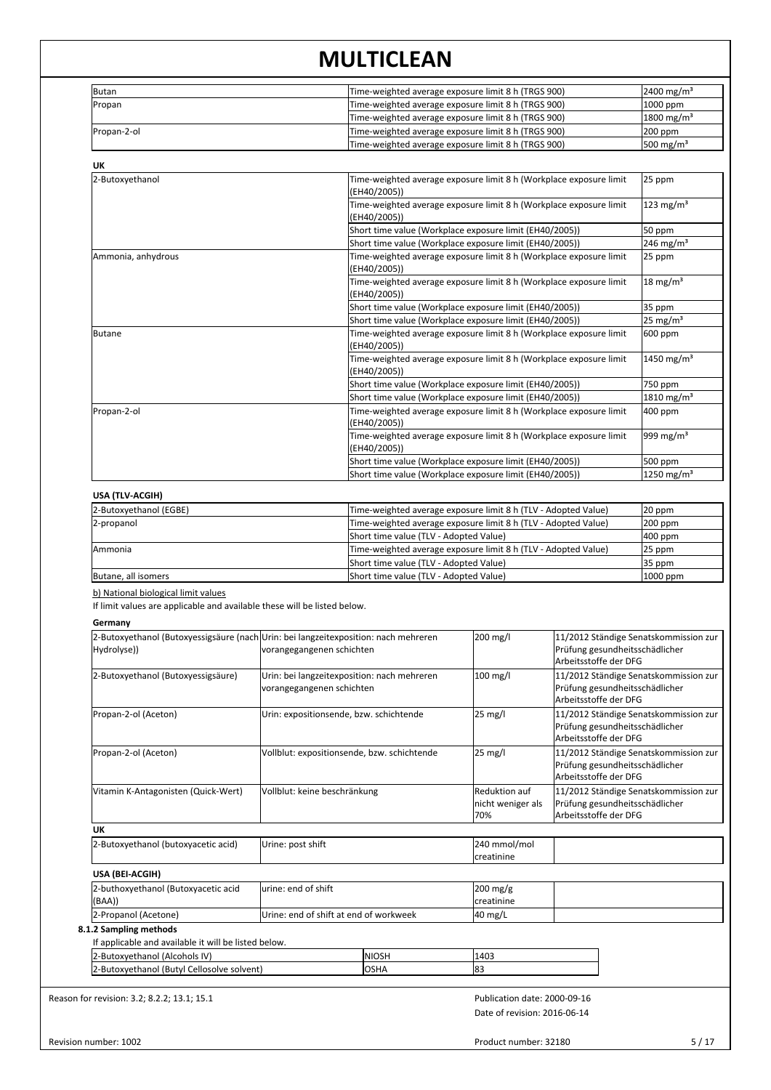| Butan       | Time-weighted average exposure limit 8 h (TRGS 900) | $2400 \,\mathrm{mg/m^3}$ |
|-------------|-----------------------------------------------------|--------------------------|
| Propan      | Time-weighted average exposure limit 8 h (TRGS 900) | $1000$ ppm               |
|             | Time-weighted average exposure limit 8 h (TRGS 900) | $1800 \,\mathrm{mg/m^3}$ |
| Propan-2-ol | Time-weighted average exposure limit 8 h (TRGS 900) | $200$ ppm                |
|             | Time-weighted average exposure limit 8 h (TRGS 900) | $500 \text{ mg/m}^3$     |

| UK                 |                                                                                    |                          |  |
|--------------------|------------------------------------------------------------------------------------|--------------------------|--|
| 2-Butoxyethanol    | Time-weighted average exposure limit 8 h (Workplace exposure limit<br>(EH40/2005)) | 25 ppm                   |  |
|                    | Time-weighted average exposure limit 8 h (Workplace exposure limit<br>(EH40/2005)) | $123 \text{ mg/m}^3$     |  |
|                    | Short time value (Workplace exposure limit (EH40/2005))                            | 50 ppm                   |  |
|                    | Short time value (Workplace exposure limit (EH40/2005))                            | $246$ mg/m <sup>3</sup>  |  |
| Ammonia, anhydrous | Time-weighted average exposure limit 8 h (Workplace exposure limit<br>(EH40/2005)) | 25 ppm                   |  |
|                    | Time-weighted average exposure limit 8 h (Workplace exposure limit<br>(EH40/2005)) | $18 \text{ mg/m}^3$      |  |
|                    | Short time value (Workplace exposure limit (EH40/2005))                            | 35 ppm                   |  |
|                    | Short time value (Workplace exposure limit (EH40/2005))                            | $25 \text{ mg/m}^3$      |  |
| Butane             | Time-weighted average exposure limit 8 h (Workplace exposure limit<br>(EH40/2005)) | 600 ppm                  |  |
|                    | Time-weighted average exposure limit 8 h (Workplace exposure limit<br>(EH40/2005)) | $1450$ mg/m <sup>3</sup> |  |
|                    | Short time value (Workplace exposure limit (EH40/2005))                            | 750 ppm                  |  |
|                    | Short time value (Workplace exposure limit (EH40/2005))                            | $1810$ mg/m <sup>3</sup> |  |
| Propan-2-ol        | Time-weighted average exposure limit 8 h (Workplace exposure limit<br>(EH40/2005)) | 400 ppm                  |  |
|                    | Time-weighted average exposure limit 8 h (Workplace exposure limit<br>(EH40/2005)) | 999 mg/m <sup>3</sup>    |  |
|                    | Short time value (Workplace exposure limit (EH40/2005))                            | 500 ppm                  |  |
|                    | Short time value (Workplace exposure limit (EH40/2005))                            | $1250 \text{ mg/m}^3$    |  |

| 2-Butoxyethanol (EGBE) | Time-weighted average exposure limit 8 h (TLV - Adopted Value) | $20$ ppm   |
|------------------------|----------------------------------------------------------------|------------|
| 2-propanol             | Time-weighted average exposure limit 8 h (TLV - Adopted Value) | $200$ ppm  |
|                        | Short time value (TLV - Adopted Value)                         | $400$ ppm  |
| Ammonia                | Time-weighted average exposure limit 8 h (TLV - Adopted Value) | $25$ ppm   |
|                        | Short time value (TLV - Adopted Value)                         | 35 ppm     |
| Butane, all isomers    | Short time value (TLV - Adopted Value)                         | $1000$ ppm |

b) National biological limit values

If limit values are applicable and available these will be listed below.

**Germany**

|                                                      | 2-Butoxyethanol (Butoxyessigsäure (nach Urin: bei langzeitexposition: nach mehreren |              | 200 mg/l                     | 11/2012 Ständige Senatskommission zur                                                            |
|------------------------------------------------------|-------------------------------------------------------------------------------------|--------------|------------------------------|--------------------------------------------------------------------------------------------------|
| Hydrolyse))                                          | vorangegangenen schichten                                                           |              |                              | Prüfung gesundheitsschädlicher<br>Arbeitsstoffe der DFG                                          |
| 2-Butoxyethanol (Butoxyessigsäure)                   | Urin: bei langzeitexposition: nach mehreren<br>vorangegangenen schichten            |              | 100 mg/l                     | 11/2012 Ständige Senatskommission zur<br>Prüfung gesundheitsschädlicher<br>Arbeitsstoffe der DFG |
| Propan-2-ol (Aceton)                                 | Urin: expositionsende, bzw. schichtende                                             |              | 25 mg/l                      | 11/2012 Ständige Senatskommission zur<br>Prüfung gesundheitsschädlicher<br>Arbeitsstoffe der DFG |
| Propan-2-ol (Aceton)                                 | Vollblut: expositionsende, bzw. schichtende                                         |              | 25 mg/l                      | 11/2012 Ständige Senatskommission zur<br>Prüfung gesundheitsschädlicher<br>Arbeitsstoffe der DFG |
| Vitamin K-Antagonisten (Quick-Wert)                  | Vollblut: keine beschränkung                                                        |              | Reduktion auf                | 11/2012 Ständige Senatskommission zur                                                            |
|                                                      |                                                                                     |              | nicht weniger als<br>l70%    | Prüfung gesundheitsschädlicher<br>Arbeitsstoffe der DFG                                          |
| <b>UK</b>                                            |                                                                                     |              |                              |                                                                                                  |
| 2-Butoxyethanol (butoxyacetic acid)                  | Urine: post shift                                                                   |              | 240 mmol/mol                 |                                                                                                  |
|                                                      |                                                                                     |              | creatinine                   |                                                                                                  |
| USA (BEI-ACGIH)                                      |                                                                                     |              |                              |                                                                                                  |
| 2-buthoxyethanol (Butoxyacetic acid                  | urine: end of shift                                                                 |              | 200 mg/g                     |                                                                                                  |
| (BAA))                                               |                                                                                     |              | lcreatinine                  |                                                                                                  |
| 2-Propanol (Acetone)                                 | Urine: end of shift at end of workweek                                              |              | 40 mg/L                      |                                                                                                  |
| 8.1.2 Sampling methods                               |                                                                                     |              |                              |                                                                                                  |
| If applicable and available it will be listed below. |                                                                                     |              |                              |                                                                                                  |
| 2-Butoxyethanol (Alcohols IV)                        |                                                                                     | <b>NIOSH</b> | 1403                         |                                                                                                  |
| 2-Butoxyethanol (Butyl Cellosolve solvent)           |                                                                                     | <b>OSHA</b>  | 83                           |                                                                                                  |
| Reason for revision: 3.2; 8.2.2; 13.1; 15.1          |                                                                                     |              | Publication date: 2000-09-16 |                                                                                                  |
|                                                      |                                                                                     |              | Date of revision: 2016-06-14 |                                                                                                  |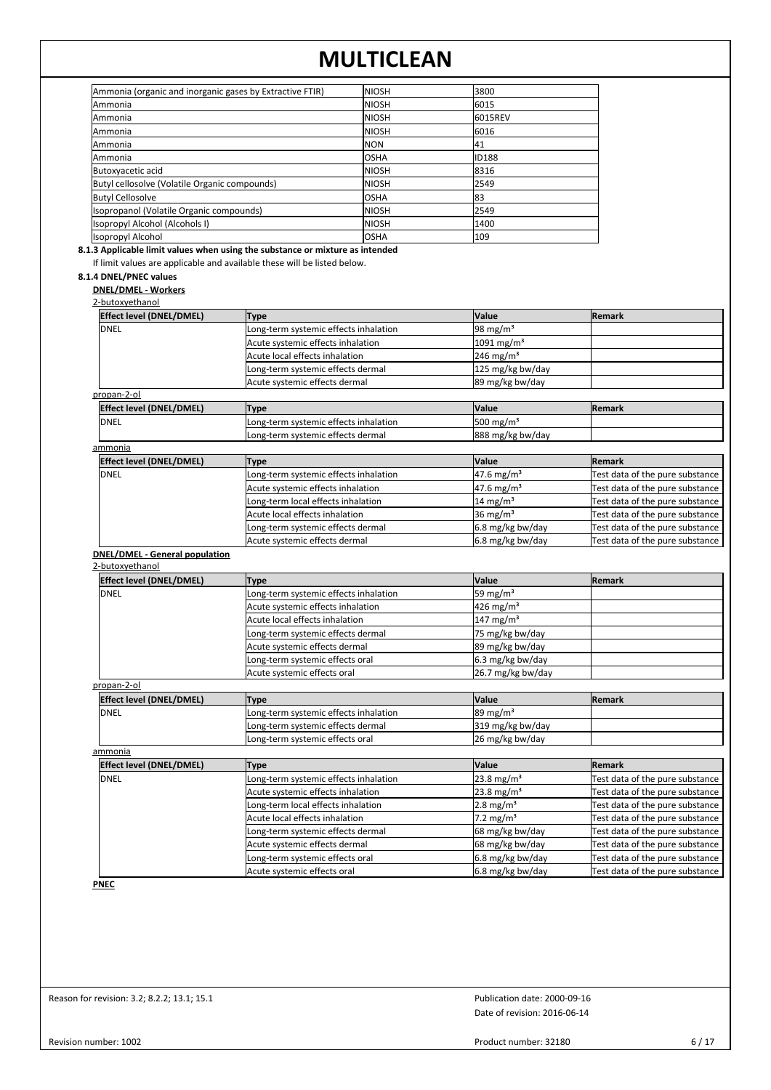| Ammonia (organic and inorganic gases by Extractive FTIR) | <b>NIOSH</b>   | 3800         |
|----------------------------------------------------------|----------------|--------------|
| <b>Ammonia</b>                                           | <b>I</b> NIOSH | 6015         |
| Ammonia                                                  | <b>NIOSH</b>   | 16015REV     |
| lAmmonia                                                 | <b>I</b> NIOSH | 16016        |
| lAmmonia                                                 | INON           | 141          |
| lAmmonia                                                 | losha          | <b>ID188</b> |
| Butoxyacetic acid                                        | <b>I</b> NIOSH | 18316        |
| Butyl cellosolve (Volatile Organic compounds)            | <b>NIOSH</b>   | 2549         |
| <b>Butyl Cellosolve</b>                                  | losha          | 183          |
| Isopropanol (Volatile Organic compounds)                 | <b>NIOSH</b>   | 2549         |
| Isopropyl Alcohol (Alcohols I)                           | <b>NIOSH</b>   | 1400         |
| Isopropyl Alcohol                                        | <b>OSHA</b>    | 109          |

**8.1.3 Applicable limit values when using the substance or mixture as intended**

If limit values are applicable and available these will be listed below.

## **8.1.4 DNEL/PNEC values**

**DNEL/DMEL - Workers**

## 2-butoxyethanol

| <b>Effect level (DNEL/DMEL)</b>       | <b>Type</b>                           | Value                    | Remark                          |
|---------------------------------------|---------------------------------------|--------------------------|---------------------------------|
| DNEL                                  | Long-term systemic effects inhalation | 98 mg/m <sup>3</sup>     |                                 |
|                                       | Acute systemic effects inhalation     | 1091 mg/m <sup>3</sup>   |                                 |
|                                       | Acute local effects inhalation        | 246 mg/m <sup>3</sup>    |                                 |
|                                       | Long-term systemic effects dermal     | 125 mg/kg bw/day         |                                 |
|                                       | Acute systemic effects dermal         | 89 mg/kg bw/day          |                                 |
| propan-2-ol                           |                                       |                          |                                 |
| Effect level (DNEL/DMEL)              | <b>Type</b>                           | Value                    | Remark                          |
| <b>DNEL</b>                           | Long-term systemic effects inhalation | 500 mg/m <sup>3</sup>    |                                 |
|                                       | Long-term systemic effects dermal     | 888 mg/kg bw/day         |                                 |
| ammonia                               |                                       |                          |                                 |
| <b>Effect level (DNEL/DMEL)</b>       | <b>Type</b>                           | Value                    | <b>Remark</b>                   |
| DNEL                                  | Long-term systemic effects inhalation | 47.6 mg/m <sup>3</sup>   | Test data of the pure substance |
|                                       | Acute systemic effects inhalation     | $47.6$ mg/m <sup>3</sup> | Test data of the pure substance |
|                                       | Long-term local effects inhalation    | $14 \text{ mg/m}^3$      | Test data of the pure substance |
|                                       | Acute local effects inhalation        | 36 mg/m <sup>3</sup>     | Test data of the pure substance |
|                                       | Long-term systemic effects dermal     | 6.8 mg/kg bw/day         | Test data of the pure substance |
|                                       | Acute systemic effects dermal         | 6.8 mg/kg bw/day         | Test data of the pure substance |
| <b>DNEL/DMEL - General population</b> |                                       |                          |                                 |
| 2-butoxyethanol                       |                                       |                          |                                 |
| <b>Effect level (DNEL/DMEL)</b>       | <b>Type</b>                           | Value                    | <b>Remark</b>                   |
| DNEL                                  | Long-term systemic effects inhalation | 59 mg/m <sup>3</sup>     |                                 |
|                                       | Acute systemic effects inhalation     | $426 \text{ mg/m}^3$     |                                 |
|                                       | Acute local effects inhalation        | $147 \text{ mg/m}^3$     |                                 |
|                                       | Long-term systemic effects dermal     | 75 mg/kg bw/day          |                                 |

## propan-2-ol

|              | <b>Effect level (DNEL/DMEL)</b> | Type                                  | <b>Value</b>         | <b>IRemark</b> |
|--------------|---------------------------------|---------------------------------------|----------------------|----------------|
| <b>IDNEL</b> |                                 | Long-term systemic effects inhalation | $189 \text{ mg/m}^3$ |                |
|              |                                 | Long-term systemic effects dermal     | 319 mg/kg bw/day     |                |
|              |                                 | Long-term systemic effects oral       | 26 mg/kg bw/day      |                |
|              | ammonia                         |                                       |                      |                |

Acute systemic effects dermal 89 mg/kg bw/day<br>
189 mg/kg bw/day<br>
6.3 mg/kg bw/day Long-term systemic effects oral 6.3 mg/kg bw/day<br>
Acute systemic effects oral 26.7 mg/kg bw/day

Acute systemic effects oral

| <b>Effect level (DNEL/DMEL)</b> | <b>Type</b>                           | <b>Value</b>                  | <b>Remark</b>                   |
|---------------------------------|---------------------------------------|-------------------------------|---------------------------------|
| <b>DNEL</b>                     | Long-term systemic effects inhalation | $23.8 \text{ mg/m}^3$         | Test data of the pure substance |
|                                 | Acute systemic effects inhalation     | $23.8 \text{ mg/m}^3$         | Test data of the pure substance |
|                                 | Long-term local effects inhalation    | $2.8 \text{ mg/m}^3$          | Test data of the pure substance |
|                                 | Acute local effects inhalation        | $2.2 \text{ mg/m}^3$          | Test data of the pure substance |
|                                 | Long-term systemic effects dermal     | 68 mg/kg bw/day               | Test data of the pure substance |
|                                 | Acute systemic effects dermal         | 68 mg/kg bw/day               | Test data of the pure substance |
|                                 | Long-term systemic effects oral       | $6.8 \,\mathrm{mg/kg}$ bw/day | Test data of the pure substance |
|                                 | Acute systemic effects oral           | $6.8 \,\mathrm{mg/kg}$ bw/day | Test data of the pure substance |

**PNEC**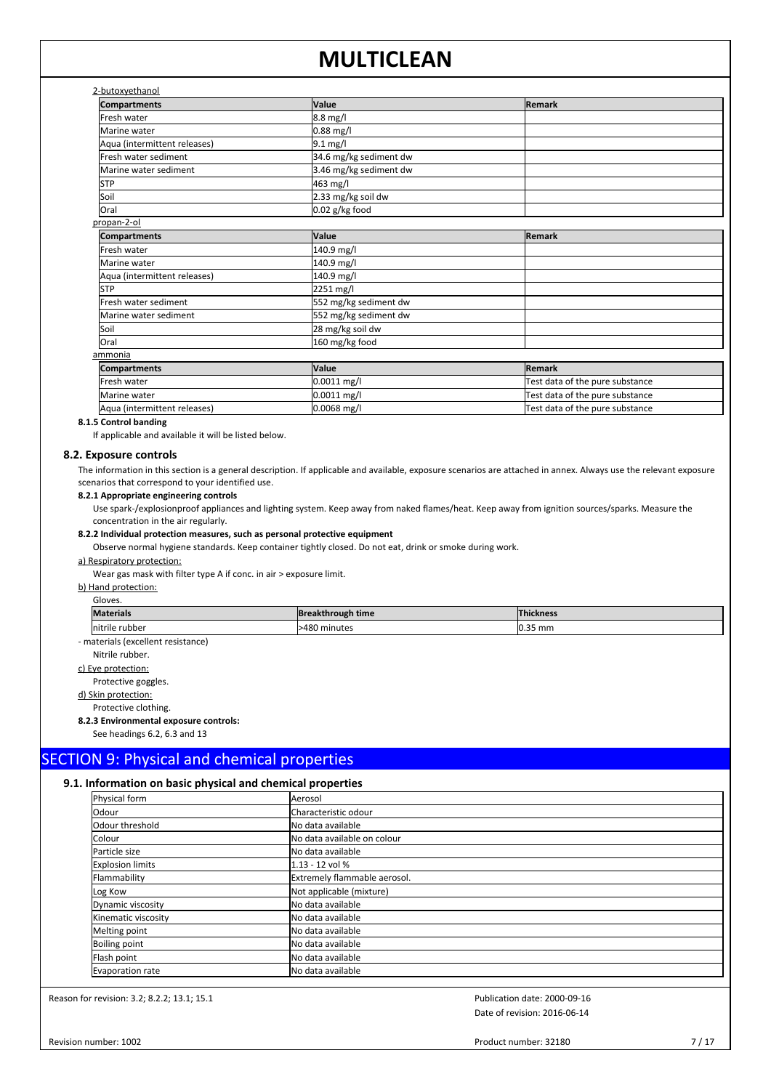| 2-butoxyethanol |
|-----------------|
|                 |

| 2-butoxyethanol              |                        |                                 |  |  |  |  |
|------------------------------|------------------------|---------------------------------|--|--|--|--|
| <b>Compartments</b>          | Value                  | <b>Remark</b>                   |  |  |  |  |
| Fresh water                  | 8.8 mg/l               |                                 |  |  |  |  |
| Marine water                 | $0.88$ mg/l            |                                 |  |  |  |  |
| Aqua (intermittent releases) | $9.1$ mg/l             |                                 |  |  |  |  |
| Fresh water sediment         | 34.6 mg/kg sediment dw |                                 |  |  |  |  |
| Marine water sediment        | 3.46 mg/kg sediment dw |                                 |  |  |  |  |
| <b>STP</b>                   | 463 mg/l               |                                 |  |  |  |  |
| Soil                         | 2.33 mg/kg soil dw     |                                 |  |  |  |  |
| Oral                         | $0.02$ g/kg food       |                                 |  |  |  |  |
| propan-2-ol                  |                        |                                 |  |  |  |  |
| <b>Compartments</b>          | Value                  | Remark                          |  |  |  |  |
| Fresh water                  | 140.9 mg/l             |                                 |  |  |  |  |
| Marine water                 | 140.9 mg/l             |                                 |  |  |  |  |
| Aqua (intermittent releases) | 140.9 mg/l             |                                 |  |  |  |  |
| <b>STP</b>                   | 2251 mg/l              |                                 |  |  |  |  |
| Fresh water sediment         | 552 mg/kg sediment dw  |                                 |  |  |  |  |
| Marine water sediment        | 552 mg/kg sediment dw  |                                 |  |  |  |  |
| Soil                         | 28 mg/kg soil dw       |                                 |  |  |  |  |
| Oral                         | 160 mg/kg food         |                                 |  |  |  |  |
| ammonia                      |                        |                                 |  |  |  |  |
| <b>Compartments</b>          | Value                  | Remark                          |  |  |  |  |
| Fresh water                  | 0.0011 mg/l            | Test data of the pure substance |  |  |  |  |
| Marine water                 | $0.0011$ mg/l          | Test data of the pure substance |  |  |  |  |
| Aqua (intermittent releases) | $0.0068$ mg/l          | Test data of the pure substance |  |  |  |  |

#### **8.1.5 Control banding**

If applicable and available it will be listed below.

#### **8.2. Exposure controls**

The information in this section is a general description. If applicable and available, exposure scenarios are attached in annex. Always use the relevant exposure scenarios that correspond to your identified use.

#### **8.2.1 Appropriate engineering controls**

Use spark-/explosionproof appliances and lighting system. Keep away from naked flames/heat. Keep away from ignition sources/sparks. Measure the concentration in the air regularly.

## **8.2.2 Individual protection measures, such as personal protective equipment**

Observe normal hygiene standards. Keep container tightly closed. Do not eat, drink or smoke during work.

#### a) Respiratory protection:

Wear gas mask with filter type A if conc. in air > exposure limit.

b) Hand protection:

| . .<br>w<br>۰, |  |
|----------------|--|
|----------------|--|

| May<br>:ran                                          | <b>Breakthrough time</b> | kness<br>                   |
|------------------------------------------------------|--------------------------|-----------------------------|
| rubber<br>Initrile                                   | .548C<br>minutes         | $\sim$<br>mm<br><b>U.L.</b> |
| $\sim$ $\sim$<br>the contract of the contract of the |                          |                             |

- materials (excellent resistance)

Nitrile rubber. c) Eye protection:

## Protective goggles.

d) Skin protection:

Protective clothing.

#### **8.2.3 Environmental exposure controls:**

See headings 6.2, 6.3 and 13

## SECTION 9: Physical and chemical properties

## **9.1. Information on basic physical and chemical properties**

| Aerosol                      |
|------------------------------|
| Characteristic odour         |
| <b>I</b> No data available   |
| No data available on colour  |
| <b>I</b> No data available   |
| 1.13 - 12 vol %              |
| Extremely flammable aerosol. |
| Not applicable (mixture)     |
| lNo data available           |
| No data available            |
| lNo data available           |
| No data available            |
| lNo data available           |
| <b>I</b> No data available   |
|                              |

Reason for revision: 3.2; 8.2.2; 13.1; 15.1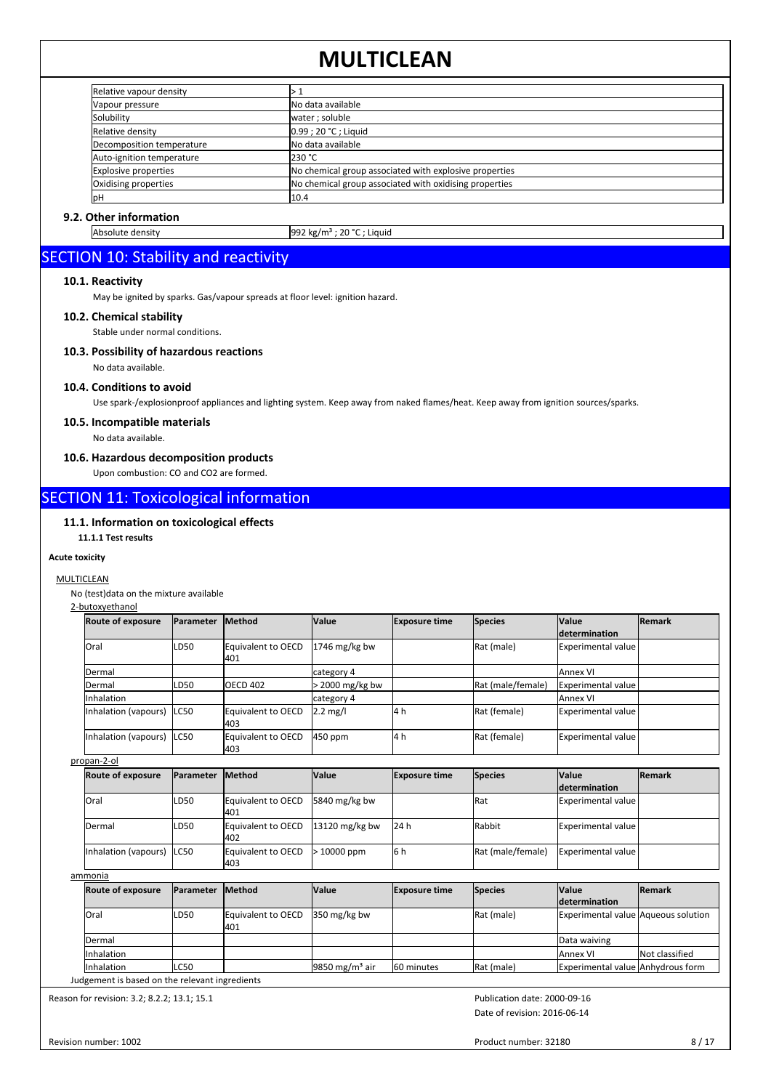| Relative vapour density     |                                                        |
|-----------------------------|--------------------------------------------------------|
| Vapour pressure             | INo data available                                     |
| Solubility                  | water; soluble                                         |
| Relative density            | 0.99 ; 20 °C ; Liguid                                  |
| Decomposition temperature   | No data available                                      |
| Auto-ignition temperature   | 230 °C                                                 |
| <b>Explosive properties</b> | No chemical group associated with explosive properties |
| Oxidising properties        | No chemical group associated with oxidising properties |
| lрН                         | 10.4                                                   |

## **9.2. Other information**

Absolute density 992 kg/m<sup>3</sup> ; 20 °C ; Liquid

## SECTION 10: Stability and reactivity

## **10.1. Reactivity**

May be ignited by sparks. Gas/vapour spreads at floor level: ignition hazard.

## **10.2. Chemical stability**

Stable under normal conditions.

## **10.3. Possibility of hazardous reactions**

No data available.

## **10.4. Conditions to avoid**

Use spark-/explosionproof appliances and lighting system. Keep away from naked flames/heat. Keep away from ignition sources/sparks.

## **10.5. Incompatible materials**

No data available.

## **10.6. Hazardous decomposition products**

Upon combustion: CO and CO2 are formed.

## SECTION 11: Toxicological information

## **11.1. Information on toxicological effects**

## **11.1.1 Test results**

## **Acute toxicity**

## MULTICLEAN

No (test)data on the mixture available

## 2-butoxyethanol

| <b>Route of exposure</b>   | <b>Parameter</b> | <b>Method</b>             | <b>Value</b>       | <b>Exposure time</b> | Species           | <b>Value</b><br>ldetermination | <b>IRemark</b> |
|----------------------------|------------------|---------------------------|--------------------|----------------------|-------------------|--------------------------------|----------------|
| <b>lOral</b>               | ILD50            | Equivalent to OECD<br>401 | $1746$ mg/kg bw    |                      | Rat (male)        | Experimental value             |                |
| Dermal                     |                  |                           | category 4         |                      |                   | lAnnex VI                      |                |
| Dermal                     | ILD50            | OECD 402                  | 2000 mg/kg bw      |                      | Rat (male/female) | Experimental value             |                |
| Inhalation                 |                  |                           | category 4         |                      |                   | <b>I</b> Annex VI              |                |
| Inhalation (vapours)       | ILC50            | Equivalent to OECD<br>403 | $2.2 \text{ mg/l}$ | 4h                   | Rat (female)      | Experimental value             |                |
| Inhalation (vapours) ILC50 |                  | Equivalent to OECD<br>403 | $450$ ppm          | 14 h                 | Rat (female)      | Experimental value             |                |

propan-2-ol

| <b>Route of exposure</b>   | <b>IParameter</b> | <b>IMethod</b>             | <b>Value</b>     | <b>Exposure time</b> | <b>Species</b>    | <b>Value</b>         | <b>Remark</b> |
|----------------------------|-------------------|----------------------------|------------------|----------------------|-------------------|----------------------|---------------|
|                            |                   |                            |                  |                      |                   | <i>determination</i> |               |
| <b>Oral</b>                | LD50              | Equivalent to OECD<br>1401 | 5840 mg/kg bw    |                      | <b>I</b> Rat      | Experimental value   |               |
| Dermal                     | LD50              | Equivalent to OECD<br>402  | $13120$ mg/kg bw | 24 h                 | <b>Rabbit</b>     | Experimental value   |               |
| Inhalation (vapours) ILC50 |                   | Equivalent to OECD<br>l403 | $>10000$ ppm     | l6h                  | Rat (male/female) | Experimental value   |               |

ammonia

| <b>Route of exposure</b> | <b>IParameter</b> | <b>Method</b>             | <b>Value</b>                | <b>Exposure time</b> | Species    | <b>Value</b><br><b>determination</b>       | <b>IRemark</b> |
|--------------------------|-------------------|---------------------------|-----------------------------|----------------------|------------|--------------------------------------------|----------------|
| <b>Oral</b>              | ILD50             | Equivalent to OECD<br>401 | $350 \,\mathrm{mg/kg}$ bw   |                      | Rat (male) | <b>Experimental value Aqueous solution</b> |                |
| <b>IDermal</b>           |                   |                           |                             |                      |            | Data waiving                               |                |
| <b>Inhalation</b>        |                   |                           |                             |                      |            | <b>JAnnex VI</b>                           | Not classified |
| <b>Inhalation</b>        | <b>LC50</b>       |                           | 19850 mg/m <sup>3</sup> air | 60 minutes           | Rat (male) | Experimental value Anhydrous form          |                |

Judgement is based on the relevant ingredients

Reason for revision: 3.2; 8.2.2; 13.1; 15.1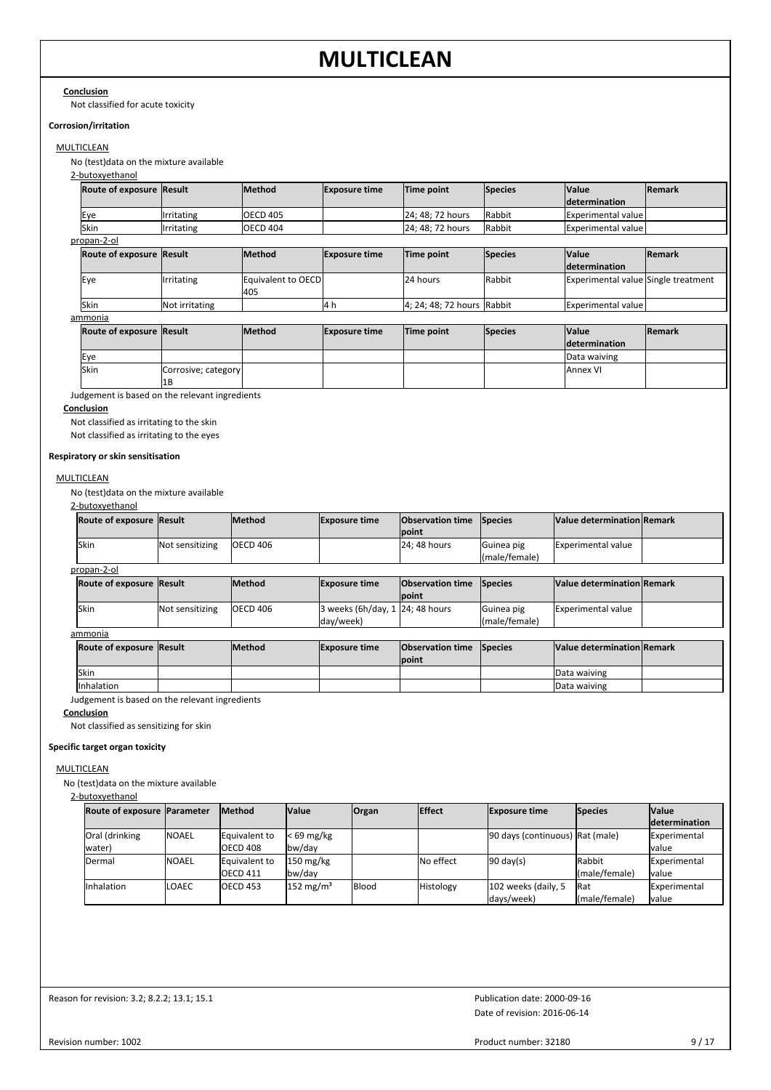**Conclusion** Not classified for acute toxicity

## **Corrosion/irritation**

## **MULTICLEAN**

No (test)data on the mixture available

2-butoxyethanol

| <b>Route of exposure Result</b>                |                           | <b>Method</b>             | <b>Exposure time</b> | Time point                 | <b>Species</b> | <b>Value</b><br><b>Idetermination</b> | Remark |
|------------------------------------------------|---------------------------|---------------------------|----------------------|----------------------------|----------------|---------------------------------------|--------|
| Eye                                            | Irritating                | <b>OECD 405</b>           |                      | 24; 48; 72 hours           | Rabbit         | Experimental value                    |        |
| Skin                                           | Irritating                | <b>OECD 404</b>           |                      | 24; 48; 72 hours           | Rabbit         | Experimental value                    |        |
| propan-2-ol                                    |                           |                           |                      |                            |                |                                       |        |
| Route of exposure Result                       |                           | Method                    | <b>Exposure time</b> | Time point                 | <b>Species</b> | <b>Value</b><br><b>Idetermination</b> | Remark |
| Eye                                            | Irritating                | Equivalent to OECD<br>405 |                      | 24 hours                   | Rabbit         | Experimental value Single treatment   |        |
| Skin                                           | Not irritating            |                           | 14 h                 | 4; 24; 48; 72 hours Rabbit |                | Experimental value                    |        |
| ammonia                                        |                           |                           |                      |                            |                |                                       |        |
| Route of exposure Result                       |                           | Method                    | <b>Exposure time</b> | Time point                 | <b>Species</b> | <b>Value</b><br><b>determination</b>  | Remark |
| Eye                                            |                           |                           |                      |                            |                | Data waiving                          |        |
| lSkin                                          | Corrosive; category<br>1B |                           |                      |                            |                | <b>J</b> Annex VI                     |        |
| Judgement is based on the relevant ingredients |                           |                           |                      |                            |                |                                       |        |

## **Conclusion**

Not classified as irritating to the skin Not classified as irritating to the eyes

**Respiratory or skin sensitisation**

### **MULTICLEAN**

No (test)data on the mixture available

2-butoxyethanol

|                                                                                                                          | <b>Value determination Remark</b> |
|--------------------------------------------------------------------------------------------------------------------------|-----------------------------------|
| <b>Ipoint</b>                                                                                                            |                                   |
| lSkin<br>Not sensitizing<br><b>IOECD 406</b><br>24: 48 hours<br><b>Experimental value</b><br>Guinea pig<br>(male/female) |                                   |

## propan-2-ol

| <b>Route of exposure Result</b> |                 | <b>IMethod</b> | <b>Exposure time</b>                         | <b>Observation time Species</b> |                             | Value determination Remark |  |
|---------------------------------|-----------------|----------------|----------------------------------------------|---------------------------------|-----------------------------|----------------------------|--|
|                                 |                 |                |                                              | <b>lpoint</b>                   |                             |                            |  |
| <b>Skin</b>                     | Not sensitizing | IOECD 406      | 3 weeks (6h/day, 1 24; 48 hours<br>dav/week) |                                 | Guinea pig<br>(male/female) | Experimental value         |  |
| ammonia                         |                 |                |                                              |                                 |                             |                            |  |

| Route of exposure Result | <b>Method</b> | <b>Exposure time</b> | <b>Observation time Species</b> | Value determination Remark |  |
|--------------------------|---------------|----------------------|---------------------------------|----------------------------|--|
|                          |               |                      | <b>lpoint</b>                   |                            |  |
| lSkin                    |               |                      |                                 | Data waiving               |  |
| <b>Inhalation</b>        |               |                      |                                 | Data waiving               |  |

Judgement is based on the relevant ingredients

## **Conclusion**

Not classified as sensitizing for skin

### **Specific target organ toxicity**

## **MULTICLEAN**

No (test)data on the mixture available

#### 2-butoxyethanol

| Route of exposure Parameter |              | <b>Method</b>        | <b>Value</b>          | <b>Organ</b> | <b>Effect</b> | <b>Exposure time</b>            | <b>Species</b> | <b>Value</b>         |
|-----------------------------|--------------|----------------------|-----------------------|--------------|---------------|---------------------------------|----------------|----------------------|
|                             |              |                      |                       |              |               |                                 |                | <b>determination</b> |
| Oral (drinking              | <b>NOAEL</b> | Equivalent to        | $< 69 \text{ mg/kg}$  |              |               | 90 days (continuous) Rat (male) |                | <b>IExperimental</b> |
| lwater)                     |              | OECD 408             | bw/day                |              |               |                                 |                | lvalue               |
| Dermal                      | <b>NOAEL</b> | <b>Equivalent to</b> | $150 \text{ mg/kg}$   |              | No effect     | $90 \text{ day}(s)$             | Rabbit         | Experimental         |
|                             |              | OECD <sub>411</sub>  | bw/day                |              |               |                                 | (male/female)  | lvalue               |
| Inhalation                  | <b>LOAEC</b> | IOECD 453            | 152 mg/m <sup>3</sup> | Blood        | Histology     | 102 weeks (daily, 5             | Rat            | <b>IExperimental</b> |
|                             |              |                      |                       |              |               | days/week)                      | (male/female)  | lvalue               |

Reason for revision: 3.2; 8.2.2; 13.1; 15.1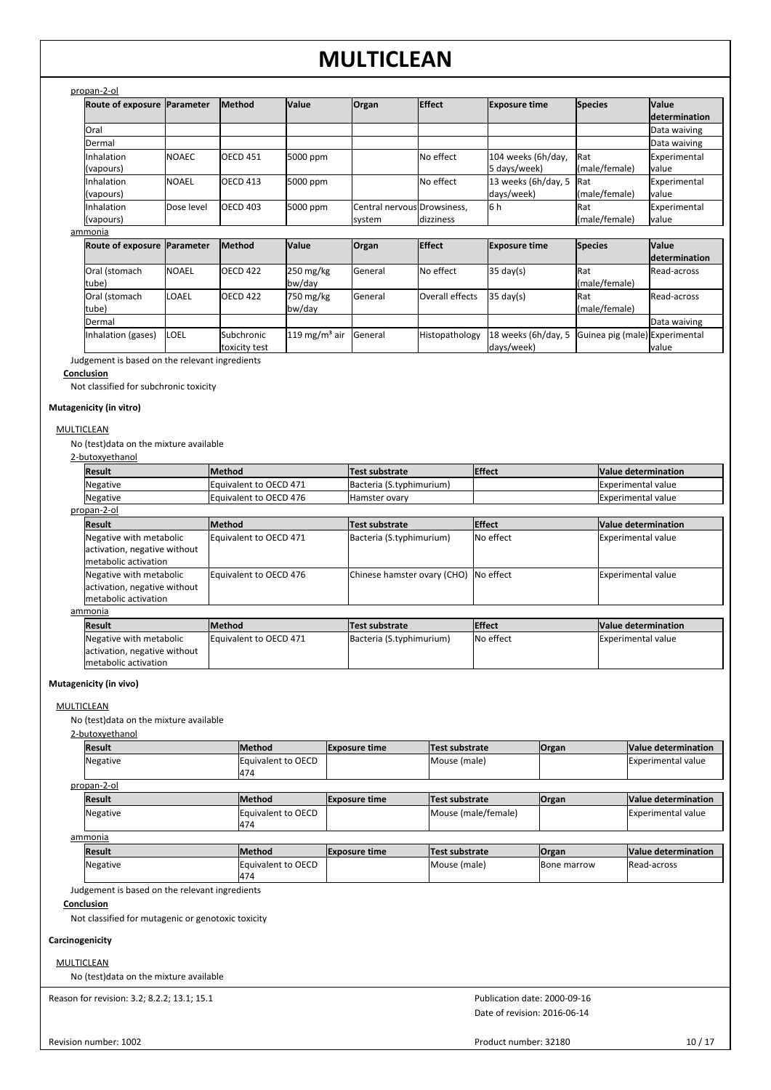| propan-2-ol |
|-------------|
|-------------|

| Route of exposure Parameter |               | <b>Method</b>       | <b>Value</b> | Organ                                 | <b>Effect</b> | <b>Exposure time</b>               | <b>Species</b>               | <b>Value</b><br><i>determination</i> |
|-----------------------------|---------------|---------------------|--------------|---------------------------------------|---------------|------------------------------------|------------------------------|--------------------------------------|
| Oral                        |               |                     |              |                                       |               |                                    |                              | Data waiving                         |
| Dermal                      |               |                     |              |                                       |               |                                    |                              | Data waiving                         |
| Inhalation<br>(vapours)     | <b>INOAEC</b> | <b>OECD 451</b>     | 5000 ppm     |                                       | No effect     | 104 weeks (6h/day,<br>5 days/week) | <b>IRat</b><br>(male/female) | Experimental<br>lvalue               |
| Inhalation<br>(vapours)     | <b>NOAEL</b>  | OECD <sub>413</sub> | 5000 ppm     |                                       | No effect     | 13 weeks (6h/day, 5<br>days/week)  | <b>IRat</b><br>(male/female) | Experimental<br>lvalue               |
| Inhalation<br>(vapours)     | Dose level    | IOECD 403           | 5000 ppm     | Central nervous Drowsiness,<br>system | dizziness     | l6 h                               | <b>IRat</b><br>(male/female) | Experimental<br><b>I</b> value       |
| nmonia                      |               |                     |              |                                       |               |                                    |                              |                                      |
|                             |               | .                   |              |                                       | ---           | $\sim$                             |                              | .                                    |

|--|

| Route of exposure Parameter |              | <b>Method</b>   | <b>Value</b>             | <b>Organ</b> | <b>Effect</b>   | <b>Exposure time</b>                               | <b>Species</b> | <b>Value</b>        |
|-----------------------------|--------------|-----------------|--------------------------|--------------|-----------------|----------------------------------------------------|----------------|---------------------|
|                             |              |                 |                          |              |                 |                                                    |                | ldetermination      |
| Oral (stomach               | <b>NOAEL</b> | <b>OECD 422</b> | $250 \text{ mg/kg}$      | General      | No effect       | $35 \text{ day}(s)$                                | <b>IRat</b>    | <b>IRead-across</b> |
| tube)                       |              |                 | bw/day                   |              |                 |                                                    | (male/female)  |                     |
| Oral (stomach               | <b>LOAEL</b> | <b>OECD 422</b> | 750 mg/kg                | General      | Overall effects | $35 \text{ day}(s)$                                | <b>Rat</b>     | lRead-across        |
| tube)                       |              |                 | bw/day                   |              |                 |                                                    | (male/female)  |                     |
| Dermal                      |              |                 |                          |              |                 |                                                    |                | Data waiving        |
| Inhalation (gases)          | <b>ILOEL</b> | Subchronic      | $119 \text{ mg/m}^3$ air | General      | Histopathology  | 18 weeks (6h/day, 5 Guinea pig (male) Experimental |                |                     |
|                             |              | toxicity test   |                          |              |                 | days/week)                                         |                | lvalue              |

Judgement is based on the relevant ingredients

### **Conclusion**

Not classified for subchronic toxicity

## **Mutagenicity (in vitro)**

## **MULTICLEAN**

No (test)data on the mixture available

### 2-butoxyethanol

| Result                                                                           | Method                 | Test substrate              | <b>Effect</b>    | Value determination |
|----------------------------------------------------------------------------------|------------------------|-----------------------------|------------------|---------------------|
| Negative                                                                         | Equivalent to OECD 471 | Bacteria (S.typhimurium)    |                  | Experimental value  |
| Negative                                                                         | Equivalent to OECD 476 | Hamster ovary               |                  | Experimental value  |
| propan-2-ol                                                                      |                        |                             |                  |                     |
| <b>Result</b>                                                                    | <b>Method</b>          | Test substrate              | <b>Effect</b>    | Value determination |
| Negative with metabolic<br>activation, negative without<br>Imetabolic activation | Equivalent to OECD 471 | Bacteria (S.typhimurium)    | <b>No effect</b> | Experimental value  |
| Negative with metabolic<br>activation, negative without<br>Imetabolic activation | Equivalent to OECD 476 | Chinese hamster ovary (CHO) | <b>No effect</b> | Experimental value  |
| ammonia                                                                          |                        |                             |                  |                     |
| <b>Result</b>                                                                    | <b>Method</b>          | Test substrate              | <b>Effect</b>    | Value determination |
| Negative with metabolic                                                          | Equivalent to OECD 471 | Bacteria (S.typhimurium)    | <b>No effect</b> | Experimental value  |

## **Mutagenicity (in vivo)**

## MULTICLEAN

No (test)data on the mixture available

activation, negative without metabolic activation

#### 2-butoxyethanol

| <b>Result</b> | <b>Method</b>              | <b>Exposure time</b> | Test substrate      | <b>Organ</b> | Value determination       |
|---------------|----------------------------|----------------------|---------------------|--------------|---------------------------|
| Negative      | Equivalent to OECD         |                      | Mouse (male)        |              | <b>Experimental value</b> |
|               | 1474                       |                      |                     |              |                           |
| propan-2-ol   |                            |                      |                     |              |                           |
| <b>Result</b> | <b>Method</b>              | <b>Exposure time</b> | Test substrate      | <b>Organ</b> | Value determination       |
| Negative      | Equivalent to OECD<br>1474 |                      | Mouse (male/female) |              | <b>Experimental value</b> |

## ammonia

| <b>Result</b> | lMethod            | <b>Exposure time</b> | Test substrate | <b>Organ</b>       | <b>Value determination</b> |
|---------------|--------------------|----------------------|----------------|--------------------|----------------------------|
| Negative      | Equivalent to OECD |                      | Mouse (male)   | <b>Bone marrow</b> | Read-across                |
|               | 1474               |                      |                |                    |                            |

Judgement is based on the relevant ingredients

## **Conclusion**

Not classified for mutagenic or genotoxic toxicity

## **Carcinogenicity**

**MULTICLEAN** 

No (test)data on the mixture available

Reason for revision: 3.2; 8.2.2; 13.1; 15.1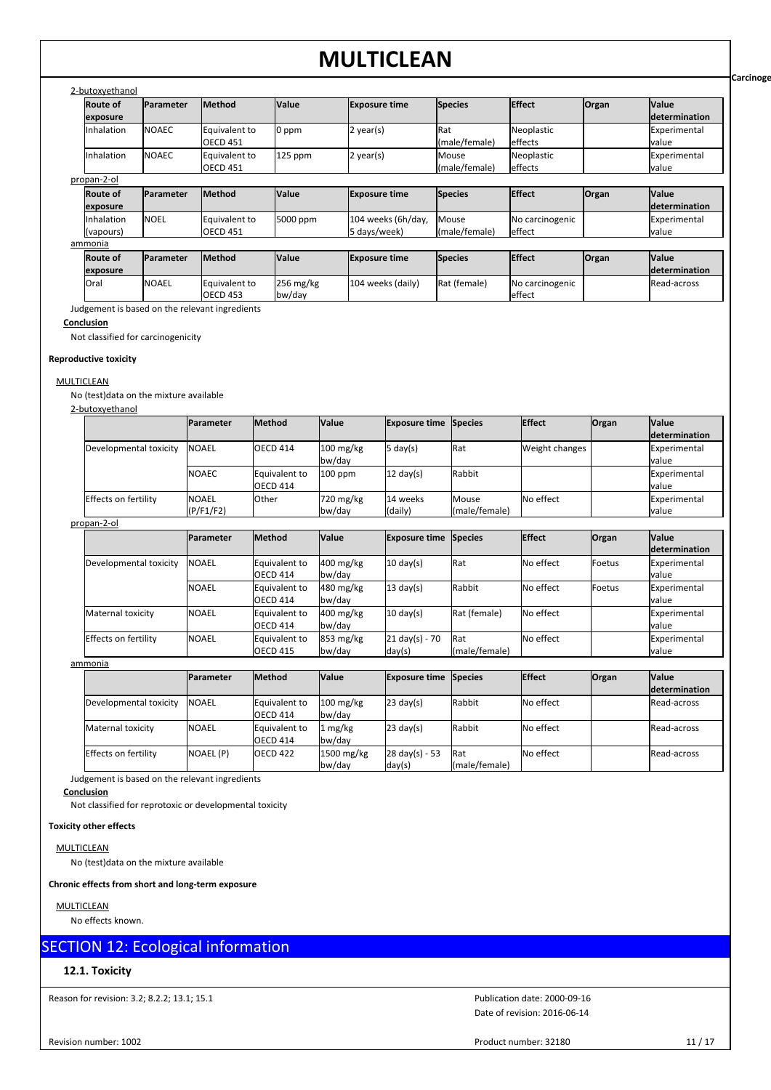| 2-butoxyethanol             |                  |                                  |              |                                    |                        |                           |       |                                       |
|-----------------------------|------------------|----------------------------------|--------------|------------------------------------|------------------------|---------------------------|-------|---------------------------------------|
| <b>Route of</b><br>exposure | <b>Parameter</b> | Method                           | <b>Value</b> | <b>Exposure time</b>               | Species                | <b>Effect</b>             | Organ | <b>Value</b><br><b>Idetermination</b> |
| Inhalation                  | <b>NOAEC</b>     | Equivalent to<br><b>OECD 451</b> | 0 ppm        | $2$ year(s)                        | Rat<br>(male/female)   | Neoplastic<br>effects     |       | Experimental<br>Ivalue                |
| Inhalation                  | <b>NOAEC</b>     | Equivalent to<br><b>OECD 451</b> | $125$ ppm    | $2$ year(s)                        | Mouse<br>(male/female) | Neoplastic<br>effects     |       | Experimental<br><b>I</b> value        |
| propan-2-ol                 |                  |                                  |              |                                    |                        |                           |       |                                       |
| <b>Route of</b><br>exposure | Parameter        | Method                           | <b>Value</b> | <b>Exposure time</b>               | Species                | <b>Effect</b>             | Organ | <b>Value</b><br><b>Idetermination</b> |
| Inhalation<br>(vapours)     | <b>NOEL</b>      | Equivalent to<br><b>OECD 451</b> | 5000 ppm     | 104 weeks (6h/day,<br>5 days/week) | Mouse<br>(male/female) | No carcinogenic<br>effect |       | Experimental<br>Ivalue                |
| ammonia                     |                  |                                  |              |                                    |                        |                           |       |                                       |
| <b>Route of</b>             | Parameter        | <b>Method</b>                    | <b>Value</b> | <b>Exposure time</b>               | Species                | <b>Effect</b>             | Organ | <b>Value</b>                          |

Oral NOAEL Equivalent to 256 mg/kg 104 weeks (daily) Rat (female) No carcinogenic

Rat (female) No carcinogenic effect

OECD 453 Judgement is based on the relevant ingredients

NOAEL Equivalent to

256 mg/kg bw/day

## **Conclusion**

Not classified for carcinogenicity

## **Reproductive toxicity**

**MULTICLEAN** 

No (test)data on the mixture available

## 2-butoxyethanol

**exposure**

|                        | <b>IParameter</b> | <b>Method</b>        | <b>Value</b>        | <b>Exposure time Species</b> |               | <b>Effect</b>  | <b>Organ</b> | <b>Value</b>         |
|------------------------|-------------------|----------------------|---------------------|------------------------------|---------------|----------------|--------------|----------------------|
|                        |                   |                      |                     |                              |               |                |              | <i>determination</i> |
| Developmental toxicity | <b>INOAEL</b>     | <b>OECD 414</b>      | $100 \text{ mg/kg}$ | 5 day(s)                     | Rat           | Weight changes |              | Experimental         |
|                        |                   |                      | bw/day              |                              |               |                |              | lvalue               |
|                        | <b>INOAEC</b>     | <b>Equivalent to</b> | $100$ ppm           | $12 \text{ day}(s)$          | Rabbit        |                |              | Experimental         |
|                        |                   | OECD 414             |                     |                              |               |                |              | lvalue               |
| Effects on fertility   | <b>INOAEL</b>     | <b>Other</b>         | 720 mg/kg           | 14 weeks                     | Mouse         | No effect      |              | Experimental         |
|                        | (P/F1/F2)         |                      | bw/day              | (daily)                      | (male/female) |                |              | lvalue               |

### propan-2-ol

|                        | <b>IParameter</b> | <b>Method</b>             | <b>Value</b>                  | <b>Exposure time</b>               | <b>Species</b>       | <b>Effect</b> | <b>Organ</b>    | <b>Value</b><br>determination |
|------------------------|-------------------|---------------------------|-------------------------------|------------------------------------|----------------------|---------------|-----------------|-------------------------------|
| Developmental toxicity | INOAEL            | Equivalent to<br>OECD 414 | $400 \text{ mg/kg}$<br>bw/day | $10 \text{ day(s)}$                | Rat                  | No effect     | <b>I</b> Foetus | Experimental<br>Ivalue        |
|                        | <b>NOAEL</b>      | Equivalent to<br>OECD 414 | 480 mg/kg<br>bw/day           | $13 \text{ day(s)}$                | Rabbit               | No effect     | lFoetus         | Experimental<br>Ivalue        |
| Maternal toxicity      | <b>NOAEL</b>      | Equivalent to<br>OECD 414 | $400 \text{ mg/kg}$<br>bw/day | $10 \text{ day(s)}$                | Rat (female)         | No effect     |                 | Experimental<br>lvalue        |
| Effects on fertility   | <b>NOAEL</b>      | Equivalent to<br>OECD 415 | $853 \text{ mg/kg}$<br>bw/day | $21 \text{ day(s)} - 70$<br>day(s) | Rat<br>(male/female) | No effect     |                 | Experimental<br>lvalue        |

ammonia

|                        | <b>IParameter</b> | <b>Method</b>                           | <b>Value</b>                  | <b>Exposure time Species</b>       |                              | <b>Effect</b> | <b>Organ</b> | <b>Value</b><br><b>determination</b> |
|------------------------|-------------------|-----------------------------------------|-------------------------------|------------------------------------|------------------------------|---------------|--------------|--------------------------------------|
| Developmental toxicity | <b>INOAEL</b>     | <b>Equivalent to</b><br><b>OECD 414</b> | $100 \text{ mg/kg}$<br>bw/day | $23 \text{ day(s)}$                | Rabbit                       | No effect     |              | Read-across                          |
| Maternal toxicity      | <b>INOAEL</b>     | Equivalent to<br><b>OECD 414</b>        | . mg/kg<br>bw/dav             | $23 \text{ day(s)}$                | Rabbit                       | No effect     |              | <b>Read-across</b>                   |
| Effects on fertility   | NOAEL (P)         | <b>OECD 422</b>                         | 1500 mg/kg<br>bw/day          | $28 \text{ day(s)} - 53$<br>day(s) | <b>IRat</b><br>(male/female) | No effect     |              | <b>IRead-across</b>                  |

Judgement is based on the relevant ingredients

**Conclusion**

Not classified for reprotoxic or developmental toxicity

### **Toxicity other effects**

**MULTICLEAN** 

No (test)data on the mixture available

### **Chronic effects from short and long-term exposure**

**MULTICLEAN** 

No effects known.

## SECTION 12: Ecological information

## **12.1. Toxicity**

Reason for revision: 3.2; 8.2.2; 13.1; 15.1

Revision number: 1002

Date of revision: 2016-06-14 Publication date: 2000-09-16

Product number: 32180 11 / 17

**Carcinoge** 

**determination**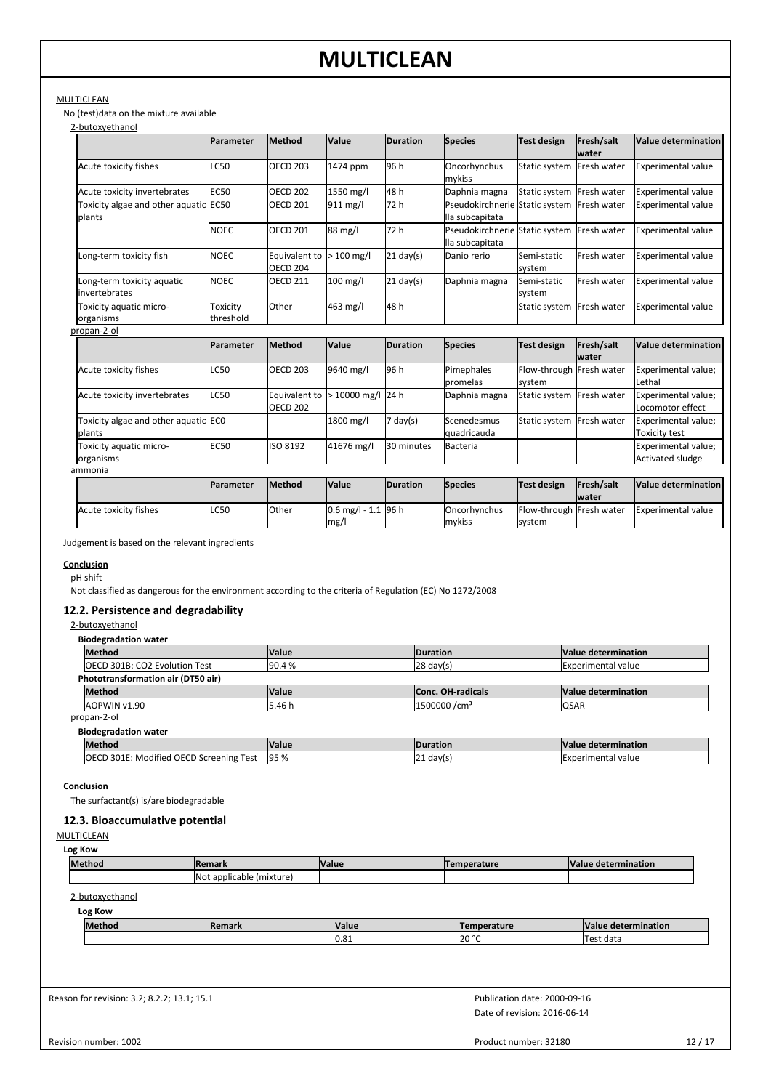## MULTICLEAN

No (test)data on the mixture available

| 2-butoxvethanol                                 |                       |                                  |                   |                    |                                                               |                                    |                            |                                                |
|-------------------------------------------------|-----------------------|----------------------------------|-------------------|--------------------|---------------------------------------------------------------|------------------------------------|----------------------------|------------------------------------------------|
|                                                 | Parameter             | Method                           | Value             | <b>Duration</b>    | <b>Species</b>                                                | <b>Test design</b>                 | Fresh/salt<br><b>water</b> | <b>Value determination</b>                     |
| Acute toxicity fishes                           | LC50                  | <b>OECD 203</b>                  | 1474 ppm          | 96 h               | Oncorhynchus<br>mykiss                                        | Static system                      | Fresh water                | <b>Experimental value</b>                      |
| Acute toxicity invertebrates                    | <b>EC50</b>           | <b>OECD 202</b>                  | 1550 mg/l         | 48h                | Daphnia magna                                                 | Static system   Fresh water        |                            | <b>Experimental value</b>                      |
| Toxicity algae and other aquatic EC50<br>plants |                       | <b>OECD 201</b>                  | 911 mg/l          | 72 h               | Pseudokirchnerie Static system Fresh water<br>lla subcapitata |                                    |                            | <b>Experimental value</b>                      |
|                                                 | <b>NOEC</b>           | <b>OECD 201</b>                  | 88 mg/l           | 72 h               | Pseudokirchnerie<br>lla subcapitata                           | Static system                      | Fresh water                | Experimental value                             |
| Long-term toxicity fish                         | <b>NOEC</b>           | Equivalent to<br><b>OECD 204</b> | $>100$ mg/l       | $21$ day(s)        | Danio rerio                                                   | Semi-static<br>system              | Fresh water                | <b>Experimental value</b>                      |
| Long-term toxicity aquatic<br>linvertebrates    | <b>NOEC</b>           | <b>OECD 211</b>                  | $100$ mg/l        | $21$ day(s)        | Daphnia magna                                                 | Semi-static<br>system              | Fresh water                | <b>Experimental value</b>                      |
| Toxicity aquatic micro-<br>organisms            | Toxicity<br>threshold | Other                            | 463 mg/l          | 48h                |                                                               | Static system                      | <b>Fresh water</b>         | <b>Experimental value</b>                      |
| propan-2-ol                                     |                       |                                  |                   |                    |                                                               |                                    |                            |                                                |
|                                                 | Parameter             | Method                           | Value             | <b>Duration</b>    | <b>Species</b>                                                | <b>Test design</b>                 | Fresh/salt<br><b>water</b> | <b>Value determination</b>                     |
| Acute toxicity fishes                           | <b>LC50</b>           | <b>OECD 203</b>                  | 9640 mg/l         | 96 h               | Pimephales<br>promelas                                        | Flow-through Fresh water<br>system |                            | Experimental value;<br>Lethal                  |
| Acute toxicity invertebrates                    | <b>LC50</b>           | Equivalent to<br><b>OECD 202</b> | > 10000 mg/l 24 h |                    | Daphnia magna                                                 | Static system Fresh water          |                            | Experimental value;<br>Locomotor effect        |
| Toxicity algae and other aquatic ECO<br>plants  |                       |                                  | 1800 mg/l         | $7 \text{ day}(s)$ | Scenedesmus<br>quadricauda                                    | Static system                      | Fresh water                | Experimental value;<br><b>Toxicity test</b>    |
| Toxicity aquatic micro-<br>organisms            | <b>EC50</b>           | ISO 8192                         | 41676 mg/l        | 30 minutes         | <b>Bacteria</b>                                               |                                    |                            | Experimental value;<br><b>Activated sludge</b> |
| ammonia                                         |                       |                                  |                   |                    |                                                               |                                    |                            |                                                |

|                       | <b>Parameter</b> | <b>Method</b> | <b>Value</b>          | <b>IDuration</b> | <b>Species</b>         | Test design                        | <b>Fresh/salt</b><br><b>water</b> | Value determination |
|-----------------------|------------------|---------------|-----------------------|------------------|------------------------|------------------------------------|-----------------------------------|---------------------|
| Acute toxicity fishes | <b>LC50</b>      | <b>Other</b>  | $0.6$ mg/l - 1.1 96 h |                  | Oncorhynchus<br>mykiss | Flow-through Fresh water<br>svstem |                                   | Experimental value  |
|                       |                  |               | mg/l                  |                  |                        |                                    |                                   |                     |

Judgement is based on the relevant ingredients

**Conclusion**

pH shift

Not classified as dangerous for the environment according to the criteria of Regulation (EC) No 1272/2008

## **12.2. Persistence and degradability**

#### 2-butoxyethanol

| <b>Biodegradation water</b>                                               |                 |                       |                           |  |  |  |  |  |  |
|---------------------------------------------------------------------------|-----------------|-----------------------|---------------------------|--|--|--|--|--|--|
| <b>Method</b><br><b>Value</b>                                             | <b>Duration</b> | Value determination   |                           |  |  |  |  |  |  |
| <b>OECD 301B: CO2 Evolution Test</b>                                      | 90.4%           | $ 28 \text{ day}(s) $ | <b>Experimental value</b> |  |  |  |  |  |  |
| Phototransformation air (DT50 air)                                        |                 |                       |                           |  |  |  |  |  |  |
| <b>Method</b><br>Value determination<br><b>Value</b><br>Conc. OH-radicals |                 |                       |                           |  |  |  |  |  |  |
| 1500000/cm <sup>3</sup><br>5.46 h<br>QSAR<br>AOPWIN v1.90                 |                 |                       |                           |  |  |  |  |  |  |
| propan-2-ol                                                               |                 |                       |                           |  |  |  |  |  |  |

**Biodegradation water**

| Method                                                                                                 | <b>Value</b>       | <b>IDuratior</b> | IV<br>termination     |  |
|--------------------------------------------------------------------------------------------------------|--------------------|------------------|-----------------------|--|
| $\cdots$<br>OECD <sub>S</sub><br>loeci<br>$\sim$ $\sim$ $\sim$<br>Test<br>icreening<br>Moditied.<br>ЭU | <b>Q5%</b><br>79 ע | $121$ dav(s      | Sxperimentai<br>value |  |

**Conclusion**

The surfactant(s) is/are biodegradable

## **12.3. Bioaccumulative potential**

## **MULTICLEAN**

| Log Kow       |                           |              |             |                     |  |  |  |  |  |  |
|---------------|---------------------------|--------------|-------------|---------------------|--|--|--|--|--|--|
| <b>Method</b> | Remark                    | <b>Value</b> | Temperature | Value determination |  |  |  |  |  |  |
|               | (Not applicable (mixture) |              |             |                     |  |  |  |  |  |  |

2-butoxyethanol

| Log Kow |                |                        |                    |                               |  |  |  |  |  |  |
|---------|----------------|------------------------|--------------------|-------------------------------|--|--|--|--|--|--|
| Method  | <b>IRemark</b> | <b>Value</b>           | <b>Temperature</b> | <b>Value</b><br>determination |  |  |  |  |  |  |
|         |                | l∩ o∙<br><b>IU.O.L</b> | 0.000<br>IZU.      | ⊤est data                     |  |  |  |  |  |  |

Reason for revision: 3.2; 8.2.2; 13.1; 15.1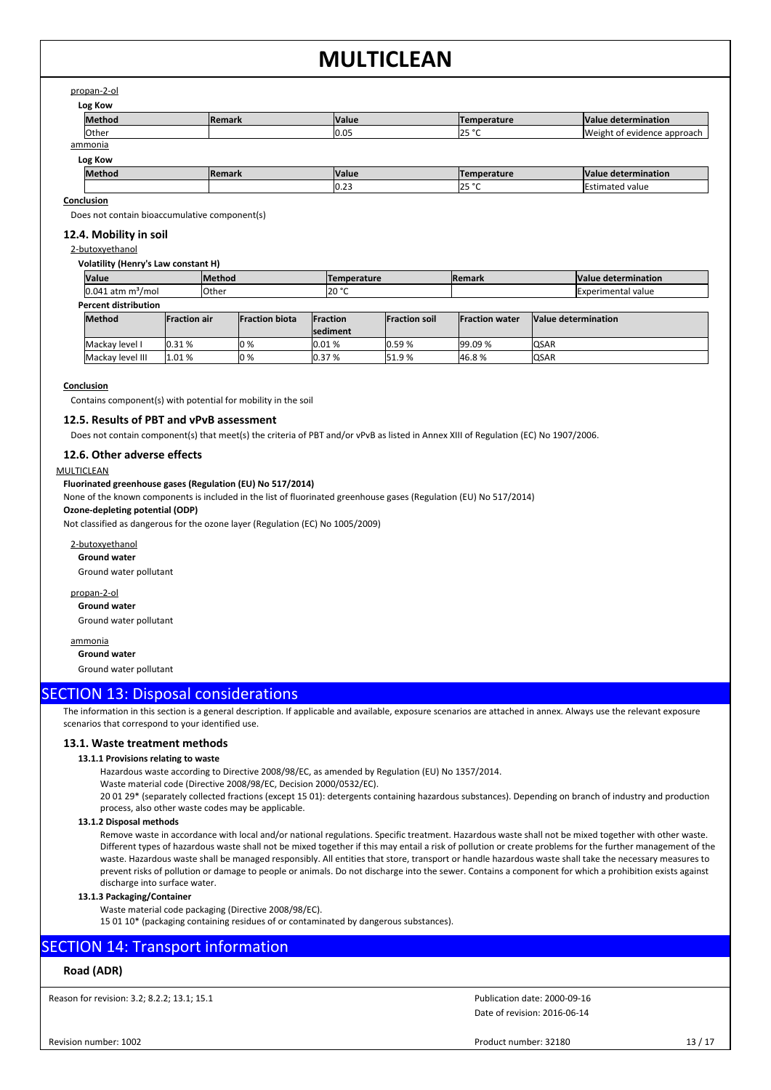## propan-2-ol

| Log Kow        |               |              |             |                             |  |  |  |  |  |  |
|----------------|---------------|--------------|-------------|-----------------------------|--|--|--|--|--|--|
| <b>Method</b>  | <b>Remark</b> | <b>Value</b> | Temperature | Value determination         |  |  |  |  |  |  |
| <b>l</b> Other |               | 0.05         | 25 °C       | Weight of evidence approach |  |  |  |  |  |  |
| <u>ammonia</u> |               |              |             |                             |  |  |  |  |  |  |
| Log Kow        |               |              |             |                             |  |  |  |  |  |  |
| <b>Method</b>  | <b>Remark</b> | <b>Value</b> | Temperature | Value determination         |  |  |  |  |  |  |
|                |               | 0.23         | 25 °C       | <b>Estimated value</b>      |  |  |  |  |  |  |

**Conclusion**

Does not contain bioaccumulative component(s)

## **12.4. Mobility in soil**

2-butoxyethanol

#### **Volatility (Henry's Law constant H)**

| <b>Value</b>                         |       | <b>Method</b>         |      |                  | <b>Temperature</b> |                      | <b>Remark</b>          |  |              | Value determination       |
|--------------------------------------|-------|-----------------------|------|------------------|--------------------|----------------------|------------------------|--|--------------|---------------------------|
| $0.041$ atm m <sup>3</sup> /mol      |       | Other                 |      |                  | 20 °C              |                      |                        |  |              | <b>Experimental value</b> |
| <b>Percent distribution</b>          |       |                       |      |                  |                    |                      |                        |  |              |                           |
| <b>Method</b><br><b>Fraction air</b> |       | <b>Fraction biota</b> |      | <b>IFraction</b> |                    | <b>Fraction soil</b> | <b>IFraction water</b> |  |              | Value determination       |
|                                      |       |                       |      | <b>Isediment</b> |                    |                      |                        |  |              |                           |
| Mackay level I                       | 0.31% |                       | lo % | 0.01%            |                    | 0.59%                | 99.09 %                |  | <b>IQSAR</b> |                           |
| Mackay level III                     | 1.01% |                       | lo % | 0.37%            |                    | 51.9%                | 46.8%                  |  | <b>IQSAR</b> |                           |

#### **Conclusion**

Contains component(s) with potential for mobility in the soil

## **12.5. Results of PBT and vPvB assessment**

Does not contain component(s) that meet(s) the criteria of PBT and/or vPvB as listed in Annex XIII of Regulation (EC) No 1907/2006.

## **12.6. Other adverse effects**

#### MULTICLEAN

## **Fluorinated greenhouse gases (Regulation (EU) No 517/2014)**

None of the known components is included in the list of fluorinated greenhouse gases (Regulation (EU) No 517/2014)

### **Ozone-depleting potential (ODP)**

Not classified as dangerous for the ozone layer (Regulation (EC) No 1005/2009)

## 2-butoxyethanol

**Ground water**

Ground water pollutant

## propan-2-ol

**Ground water** Ground water pollutant

ammonia **Ground water**

Ground water pollutant

## SECTION 13: Disposal considerations

The information in this section is a general description. If applicable and available, exposure scenarios are attached in annex. Always use the relevant exposure scenarios that correspond to your identified use.

### **13.1. Waste treatment methods**

### **13.1.1 Provisions relating to waste**

Hazardous waste according to Directive 2008/98/EC, as amended by Regulation (EU) No 1357/2014.

Waste material code (Directive 2008/98/EC, Decision 2000/0532/EC).

20 01 29\* (separately collected fractions (except 15 01): detergents containing hazardous substances). Depending on branch of industry and production process, also other waste codes may be applicable.

#### **13.1.2 Disposal methods**

Remove waste in accordance with local and/or national regulations. Specific treatment. Hazardous waste shall not be mixed together with other waste. Different types of hazardous waste shall not be mixed together if this may entail a risk of pollution or create problems for the further management of the waste. Hazardous waste shall be managed responsibly. All entities that store, transport or handle hazardous waste shall take the necessary measures to prevent risks of pollution or damage to people or animals. Do not discharge into the sewer. Contains a component for which a prohibition exists against discharge into surface water.

### **13.1.3 Packaging/Container**

Waste material code packaging (Directive 2008/98/EC).

15 01 10\* (packaging containing residues of or contaminated by dangerous substances).

## SECTION 14: Transport information

## **Road (ADR)**

Reason for revision: 3.2; 8.2.2; 13.1; 15.1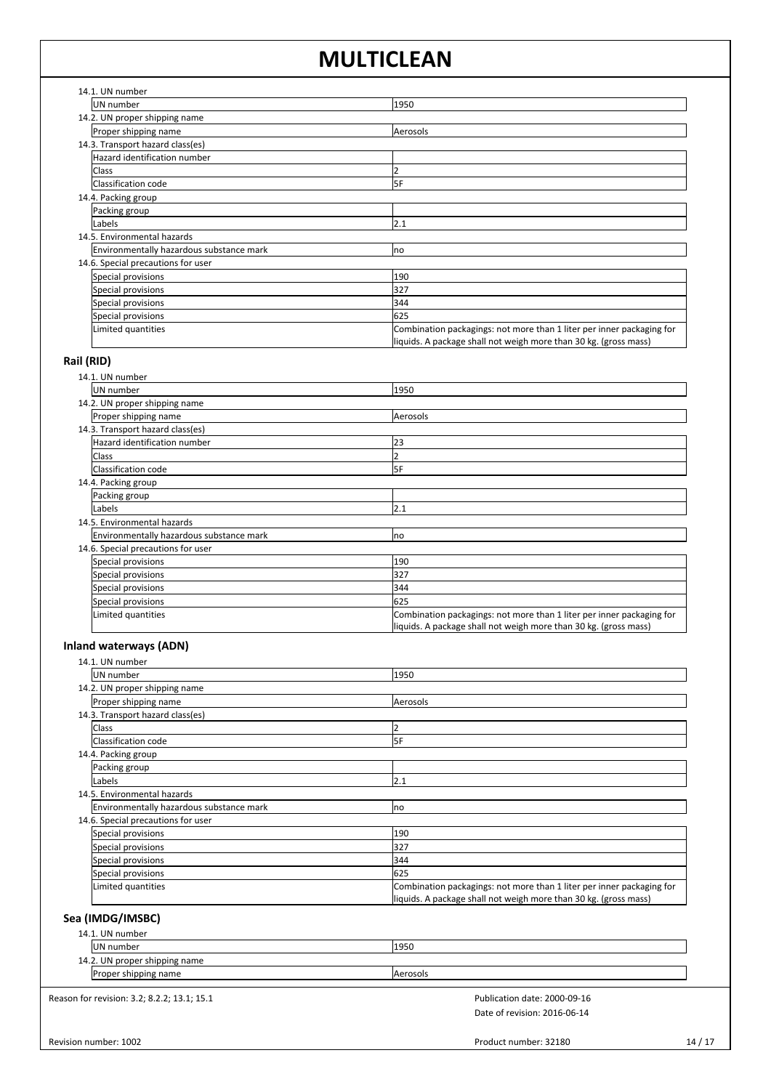| 14.1. UN number                          |                                                                                                                                           |
|------------------------------------------|-------------------------------------------------------------------------------------------------------------------------------------------|
| UN number                                | 1950                                                                                                                                      |
| 14.2. UN proper shipping name            |                                                                                                                                           |
| Proper shipping name                     | Aerosols                                                                                                                                  |
| 14.3. Transport hazard class(es)         |                                                                                                                                           |
| Hazard identification number             |                                                                                                                                           |
| Class                                    |                                                                                                                                           |
| Classification code                      | <b>SF</b>                                                                                                                                 |
| 14.4. Packing group                      |                                                                                                                                           |
| Packing group                            |                                                                                                                                           |
| Labels                                   | 2.1                                                                                                                                       |
| 14.5. Environmental hazards              |                                                                                                                                           |
| Environmentally hazardous substance mark | no                                                                                                                                        |
| 14.6. Special precautions for user       |                                                                                                                                           |
| Special provisions                       | 190                                                                                                                                       |
| Special provisions                       | 327                                                                                                                                       |
| Special provisions                       | 344                                                                                                                                       |
| Special provisions                       | 625                                                                                                                                       |
| Limited quantities                       | Combination packagings: not more than 1 liter per inner packaging for<br>liquids. A package shall not weigh more than 30 kg. (gross mass) |

## **Rail (RID)**

| 14.1. UN number                          |                                                                       |
|------------------------------------------|-----------------------------------------------------------------------|
| UN number                                | 1950                                                                  |
| 14.2. UN proper shipping name            |                                                                       |
| Proper shipping name                     | Aerosols                                                              |
| 14.3. Transport hazard class(es)         |                                                                       |
| Hazard identification number             | 23                                                                    |
| <b>Class</b>                             |                                                                       |
| Classification code                      | 5F                                                                    |
| 14.4. Packing group                      |                                                                       |
| Packing group                            |                                                                       |
| Labels                                   | 2.1                                                                   |
| 14.5. Environmental hazards              |                                                                       |
| Environmentally hazardous substance mark | <b>no</b>                                                             |
| 14.6. Special precautions for user       |                                                                       |
| Special provisions                       | 190                                                                   |
| Special provisions                       | 327                                                                   |
| Special provisions                       | 344                                                                   |
| Special provisions                       | 625                                                                   |
| Limited quantities                       | Combination packagings: not more than 1 liter per inner packaging for |
|                                          | liquids. A package shall not weigh more than 30 kg. (gross mass)      |

## **Inland waterways (ADN)**

| 14.1. UN number                          |                                                                                                                                           |
|------------------------------------------|-------------------------------------------------------------------------------------------------------------------------------------------|
| UN number                                | 1950                                                                                                                                      |
| 14.2. UN proper shipping name            |                                                                                                                                           |
| Proper shipping name                     | Aerosols                                                                                                                                  |
| 14.3. Transport hazard class(es)         |                                                                                                                                           |
| Class                                    |                                                                                                                                           |
| Classification code                      | 5F                                                                                                                                        |
| 14.4. Packing group                      |                                                                                                                                           |
| Packing group                            |                                                                                                                                           |
| Labels                                   | 2.1                                                                                                                                       |
| 14.5. Environmental hazards              |                                                                                                                                           |
| Environmentally hazardous substance mark | no                                                                                                                                        |
| 14.6. Special precautions for user       |                                                                                                                                           |
| Special provisions                       | 190                                                                                                                                       |
| Special provisions                       | 327                                                                                                                                       |
| Special provisions                       | 344                                                                                                                                       |
| Special provisions                       | 625                                                                                                                                       |
| Limited quantities                       | Combination packagings: not more than 1 liter per inner packaging for<br>liquids. A package shall not weigh more than 30 kg. (gross mass) |

## **Sea (IMDG/IMSBC)**

| UN number                                   | 1950                         |  |
|---------------------------------------------|------------------------------|--|
| 14.2. UN proper shipping name               |                              |  |
| Proper shipping name                        | Aerosols                     |  |
| Reason for revision: 3.2; 8.2.2; 13.1; 15.1 | Publication date: 2000-09-16 |  |
|                                             | Date of revision: 2016-06-14 |  |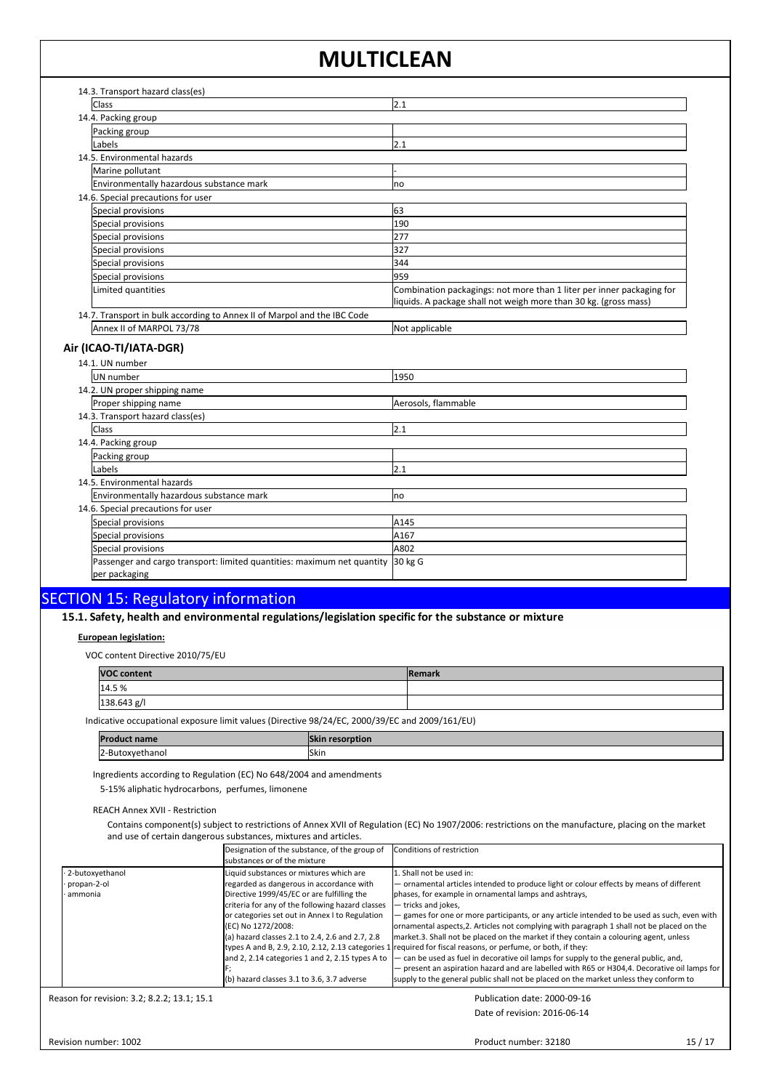| 14.3. Transport hazard class(es)                                         |                                                                       |
|--------------------------------------------------------------------------|-----------------------------------------------------------------------|
| <b>Class</b>                                                             | 2.1                                                                   |
| 14.4. Packing group                                                      |                                                                       |
| Packing group                                                            |                                                                       |
| Labels                                                                   | 2.1                                                                   |
| 14.5. Environmental hazards                                              |                                                                       |
| Marine pollutant                                                         |                                                                       |
| Environmentally hazardous substance mark                                 | no                                                                    |
| 14.6. Special precautions for user                                       |                                                                       |
| Special provisions                                                       | 63                                                                    |
| Special provisions                                                       | 190                                                                   |
| Special provisions                                                       | 277                                                                   |
| Special provisions                                                       | 327                                                                   |
| Special provisions                                                       | 344                                                                   |
| Special provisions                                                       | 959                                                                   |
| Limited quantities                                                       | Combination packagings: not more than 1 liter per inner packaging for |
|                                                                          | liquids. A package shall not weigh more than 30 kg. (gross mass)      |
| 14.7. Transport in bulk according to Annex II of Marpol and the IBC Code |                                                                       |
| Annex II of MARPOL 73/78                                                 | Not applicable                                                        |

## **Air (ICAO-TI/IATA-DGR)**

| 14.1. UN number                                                                          |                     |  |  |  |
|------------------------------------------------------------------------------------------|---------------------|--|--|--|
| UN number                                                                                | 1950                |  |  |  |
| 14.2. UN proper shipping name                                                            |                     |  |  |  |
| Proper shipping name                                                                     | Aerosols, flammable |  |  |  |
| 14.3. Transport hazard class(es)                                                         |                     |  |  |  |
| <b>Class</b>                                                                             | 2.1                 |  |  |  |
| 14.4. Packing group                                                                      |                     |  |  |  |
| Packing group                                                                            |                     |  |  |  |
| Labels                                                                                   | 2.1                 |  |  |  |
| 14.5. Environmental hazards                                                              |                     |  |  |  |
| Environmentally hazardous substance mark                                                 | Ino                 |  |  |  |
| 14.6. Special precautions for user                                                       |                     |  |  |  |
| Special provisions                                                                       | A145                |  |  |  |
| Special provisions                                                                       | A167                |  |  |  |
| Special provisions                                                                       | A802                |  |  |  |
| Passenger and cargo transport: limited quantities: maximum net quantity<br>per packaging | 30 kg G             |  |  |  |

# SECTION 15: Regulatory information<br>15.1. Safety, health and environmental regulations/legislation specific for the substance or mixture

### **European legislation:**

VOC content Directive 2010/75/EU

| <b>VOC content</b> | <b>Remark</b> |
|--------------------|---------------|
| 14.5%              |               |
| 138.643 g/l        |               |

Indicative occupational exposure limit values (Directive 98/24/EC, 2000/39/EC and 2009/161/EU)

| <b>Product name</b>                  | resorption |
|--------------------------------------|------------|
| -Butoxyethanol<br>$\sim$<br>14-<br>. | Skin       |

Ingredients according to Regulation (EC) No 648/2004 and amendments

5-15% aliphatic hydrocarbons, perfumes, limonene

REACH Annex XVII - Restriction

Contains component(s) subject to restrictions of Annex XVII of Regulation (EC) No 1907/2006: restrictions on the manufacture, placing on the market and use of certain dangerous substances, mixtures and articles.

|                                             | Designation of the substance, of the group of<br>Isubstances or of the mixture                                                                                                                                                                                                                                                                                                                                           | Conditions of restriction                                                                                                                                                                                                                                                                                                                                                                                                                                                                                                                                                                                                                                                                                                                                                                                                                                                                 |
|---------------------------------------------|--------------------------------------------------------------------------------------------------------------------------------------------------------------------------------------------------------------------------------------------------------------------------------------------------------------------------------------------------------------------------------------------------------------------------|-------------------------------------------------------------------------------------------------------------------------------------------------------------------------------------------------------------------------------------------------------------------------------------------------------------------------------------------------------------------------------------------------------------------------------------------------------------------------------------------------------------------------------------------------------------------------------------------------------------------------------------------------------------------------------------------------------------------------------------------------------------------------------------------------------------------------------------------------------------------------------------------|
| 2-butoxyethanol<br>propan-2-ol<br>· ammonia | Liquid substances or mixtures which are<br>regarded as dangerous in accordance with<br>Directive 1999/45/EC or are fulfilling the<br>criteria for any of the following hazard classes<br>or categories set out in Annex I to Regulation<br>(EC) No 1272/2008:<br>(a) hazard classes 2.1 to 2.4, 2.6 and 2.7, 2.8<br>and 2, 2.14 categories 1 and 2, 2.15 types A to<br>(b) hazard classes $3.1$ to $3.6$ , $3.7$ adverse | 1. Shall not be used in:<br>- ornamental articles intended to produce light or colour effects by means of different<br>phases, for example in ornamental lamps and ashtrays,<br>- tricks and jokes.<br>- games for one or more participants, or any article intended to be used as such, even with<br>ornamental aspects, 2. Articles not complying with paragraph 1 shall not be placed on the<br>market.3. Shall not be placed on the market if they contain a colouring agent, unless<br>types A and B, 2.9, 2.10, 2.12, 2.13 categories 1 required for fiscal reasons, or perfume, or both, if they:<br>- can be used as fuel in decorative oil lamps for supply to the general public, and,<br>- present an aspiration hazard and are labelled with R65 or H304,4. Decorative oil lamps for<br>supply to the general public shall not be placed on the market unless they conform to |

Reason for revision: 3.2; 8.2.2; 13.1; 15.1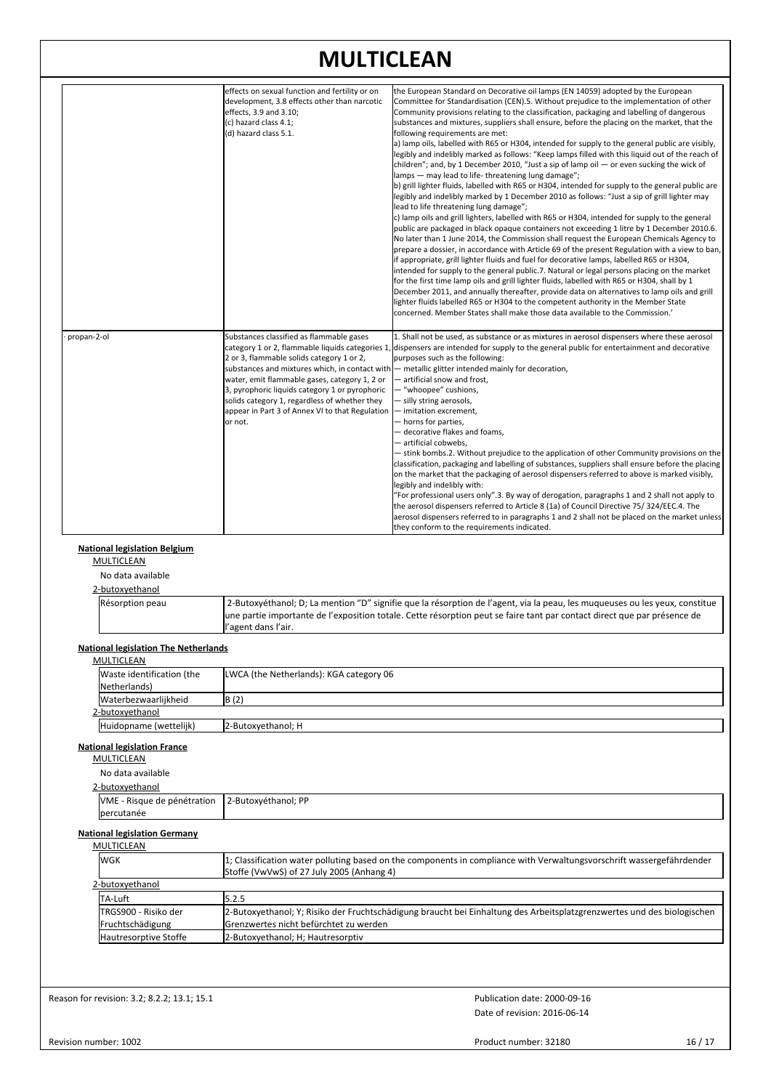|                                                                                          | effects on sexual function and fertility or on<br>development, 3.8 effects other than narcotic | the European Standard on Decorative oil lamps (EN 14059) adopted by the European<br>Committee for Standardisation (CEN).5. Without prejudice to the implementation of other                                                                             |
|------------------------------------------------------------------------------------------|------------------------------------------------------------------------------------------------|---------------------------------------------------------------------------------------------------------------------------------------------------------------------------------------------------------------------------------------------------------|
|                                                                                          | effects, 3.9 and 3.10;                                                                         | Community provisions relating to the classification, packaging and labelling of dangerous                                                                                                                                                               |
|                                                                                          | (c) hazard class 4.1;                                                                          | substances and mixtures, suppliers shall ensure, before the placing on the market, that the                                                                                                                                                             |
|                                                                                          | (d) hazard class 5.1.                                                                          | following requirements are met:<br>a) lamp oils, labelled with R65 or H304, intended for supply to the general public are visibly,                                                                                                                      |
|                                                                                          |                                                                                                | legibly and indelibly marked as follows: "Keep lamps filled with this liquid out of the reach of                                                                                                                                                        |
|                                                                                          |                                                                                                | children"; and, by 1 December 2010, "Just a sip of lamp oil $-$ or even sucking the wick of                                                                                                                                                             |
|                                                                                          |                                                                                                | lamps - may lead to life-threatening lung damage";                                                                                                                                                                                                      |
|                                                                                          |                                                                                                | b) grill lighter fluids, labelled with R65 or H304, intended for supply to the general public are<br>legibly and indelibly marked by 1 December 2010 as follows: "Just a sip of grill lighter may                                                       |
|                                                                                          |                                                                                                | lead to life threatening lung damage";                                                                                                                                                                                                                  |
|                                                                                          |                                                                                                | c) lamp oils and grill lighters, labelled with R65 or H304, intended for supply to the general                                                                                                                                                          |
|                                                                                          |                                                                                                | public are packaged in black opaque containers not exceeding 1 litre by 1 December 2010.6.                                                                                                                                                              |
|                                                                                          |                                                                                                | No later than 1 June 2014, the Commission shall request the European Chemicals Agency to<br>prepare a dossier, in accordance with Article 69 of the present Regulation with a view to ban,                                                              |
|                                                                                          |                                                                                                | if appropriate, grill lighter fluids and fuel for decorative lamps, labelled R65 or H304,                                                                                                                                                               |
|                                                                                          |                                                                                                | intended for supply to the general public.7. Natural or legal persons placing on the market                                                                                                                                                             |
|                                                                                          |                                                                                                | for the first time lamp oils and grill lighter fluids, labelled with R65 or H304, shall by 1                                                                                                                                                            |
|                                                                                          |                                                                                                | December 2011, and annually thereafter, provide data on alternatives to lamp oils and grill<br>lighter fluids labelled R65 or H304 to the competent authority in the Member State                                                                       |
|                                                                                          |                                                                                                | concerned. Member States shall make those data available to the Commission.'                                                                                                                                                                            |
|                                                                                          |                                                                                                |                                                                                                                                                                                                                                                         |
| propan-2-ol                                                                              | Substances classified as flammable gases                                                       | 1. Shall not be used, as substance or as mixtures in aerosol dispensers where these aerosol                                                                                                                                                             |
|                                                                                          |                                                                                                | category 1 or 2, flammable liquids categories 1, dispensers are intended for supply to the general public for entertainment and decorative                                                                                                              |
|                                                                                          | 2 or 3, flammable solids category 1 or 2,                                                      | purposes such as the following:                                                                                                                                                                                                                         |
|                                                                                          | water, emit flammable gases, category 1, 2 or                                                  | substances and mixtures which, in contact with $-$ metallic glitter intended mainly for decoration,<br>- artificial snow and frost,                                                                                                                     |
|                                                                                          | 3, pyrophoric liquids category 1 or pyrophoric                                                 | - "whoopee" cushions,                                                                                                                                                                                                                                   |
|                                                                                          | solids category 1, regardless of whether they                                                  | - silly string aerosols,                                                                                                                                                                                                                                |
|                                                                                          | appear in Part 3 of Annex VI to that Regulation   - imitation excrement,                       |                                                                                                                                                                                                                                                         |
|                                                                                          | or not.                                                                                        | - horns for parties,<br>- decorative flakes and foams,                                                                                                                                                                                                  |
|                                                                                          |                                                                                                | — artificial cobwebs,                                                                                                                                                                                                                                   |
|                                                                                          |                                                                                                | - stink bombs.2. Without prejudice to the application of other Community provisions on the                                                                                                                                                              |
|                                                                                          |                                                                                                | classification, packaging and labelling of substances, suppliers shall ensure before the placing                                                                                                                                                        |
|                                                                                          |                                                                                                | on the market that the packaging of aerosol dispensers referred to above is marked visibly,<br>legibly and indelibly with:                                                                                                                              |
|                                                                                          |                                                                                                | "For professional users only".3. By way of derogation, paragraphs 1 and 2 shall not apply to                                                                                                                                                            |
|                                                                                          |                                                                                                | the aerosol dispensers referred to Article 8 (1a) of Council Directive 75/324/EEC.4. The                                                                                                                                                                |
|                                                                                          |                                                                                                | aerosol dispensers referred to in paragraphs 1 and 2 shall not be placed on the market unless<br>they conform to the requirements indicated.                                                                                                            |
| No data available                                                                        |                                                                                                |                                                                                                                                                                                                                                                         |
| 2-butoxyethanol                                                                          |                                                                                                |                                                                                                                                                                                                                                                         |
| Résorption peau                                                                          |                                                                                                |                                                                                                                                                                                                                                                         |
|                                                                                          |                                                                                                | 2-Butoxyéthanol; D; La mention "D" signifie que la résorption de l'agent, via la peau, les muqueuses ou les yeux, constitue<br>une partie importante de l'exposition totale. Cette résorption peut se faire tant par contact direct que par présence de |
|                                                                                          | l'agent dans l'air.                                                                            |                                                                                                                                                                                                                                                         |
| MULTICLEAN                                                                               |                                                                                                |                                                                                                                                                                                                                                                         |
| <b>National legislation The Netherlands</b><br>Waste identification (the<br>Netherlands) | LWCA (the Netherlands): KGA category 06                                                        |                                                                                                                                                                                                                                                         |
| Waterbezwaarlijkheid                                                                     | B(2)                                                                                           |                                                                                                                                                                                                                                                         |
| 2-butoxyethanol                                                                          |                                                                                                |                                                                                                                                                                                                                                                         |
| Huidopname (wettelijk)                                                                   | 2-Butoxyethanol; H                                                                             |                                                                                                                                                                                                                                                         |
| <b>National legislation France</b><br><b>MULTICLEAN</b>                                  |                                                                                                |                                                                                                                                                                                                                                                         |
| No data available                                                                        |                                                                                                |                                                                                                                                                                                                                                                         |
| 2-butoxyethanol                                                                          |                                                                                                |                                                                                                                                                                                                                                                         |
| VME - Risque de pénétration                                                              | 2-Butoxyéthanol; PP                                                                            |                                                                                                                                                                                                                                                         |
| percutanée                                                                               |                                                                                                |                                                                                                                                                                                                                                                         |
| <b>National legislation Germany</b><br><b>MULTICLEAN</b>                                 |                                                                                                |                                                                                                                                                                                                                                                         |
| <b>WGK</b>                                                                               |                                                                                                |                                                                                                                                                                                                                                                         |
|                                                                                          | Stoffe (VwVwS) of 27 July 2005 (Anhang 4)                                                      | 1; Classification water polluting based on the components in compliance with Verwaltungsvorschrift wassergefährdender                                                                                                                                   |
| 2-butoxyethanol                                                                          |                                                                                                |                                                                                                                                                                                                                                                         |
| TA-Luft                                                                                  | 5.2.5                                                                                          |                                                                                                                                                                                                                                                         |
| TRGS900 - Risiko der                                                                     |                                                                                                | 2-Butoxyethanol; Y; Risiko der Fruchtschädigung braucht bei Einhaltung des Arbeitsplatzgrenzwertes und des biologischen                                                                                                                                 |
| Fruchtschädigung<br>Hautresorptive Stoffe                                                | Grenzwertes nicht befürchtet zu werden                                                         |                                                                                                                                                                                                                                                         |
|                                                                                          | 2-Butoxyethanol; H; Hautresorptiv                                                              |                                                                                                                                                                                                                                                         |
| Reason for revision: 3.2; 8.2.2; 13.1; 15.1                                              |                                                                                                | Publication date: 2000-09-16                                                                                                                                                                                                                            |

Product number: 32180 16 / 17